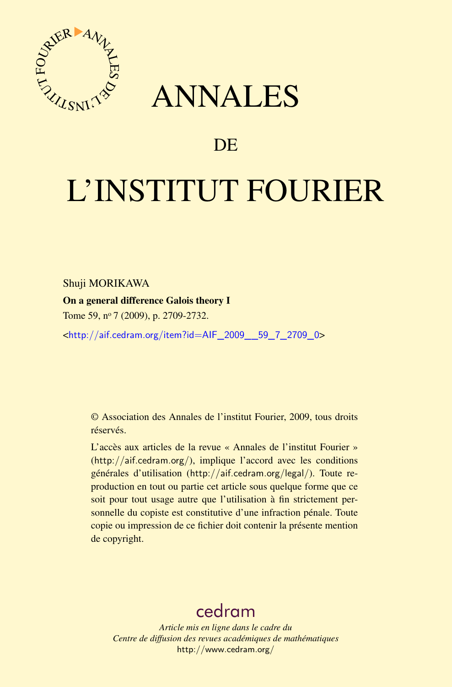

## ANNALES

### **DE**

# L'INSTITUT FOURIER

Shuji MORIKAWA

On a general difference Galois theory I

Tome 59, nº 7 (2009), p. 2709-2732.

<[http://aif.cedram.org/item?id=AIF\\_2009\\_\\_59\\_7\\_2709\\_0](http://aif.cedram.org/item?id=AIF_2009__59_7_2709_0)>

© Association des Annales de l'institut Fourier, 2009, tous droits réservés.

L'accès aux articles de la revue « Annales de l'institut Fourier » (<http://aif.cedram.org/>), implique l'accord avec les conditions générales d'utilisation (<http://aif.cedram.org/legal/>). Toute reproduction en tout ou partie cet article sous quelque forme que ce soit pour tout usage autre que l'utilisation à fin strictement personnelle du copiste est constitutive d'une infraction pénale. Toute copie ou impression de ce fichier doit contenir la présente mention de copyright.

## [cedram](http://www.cedram.org/)

*Article mis en ligne dans le cadre du Centre de diffusion des revues académiques de mathématiques* <http://www.cedram.org/>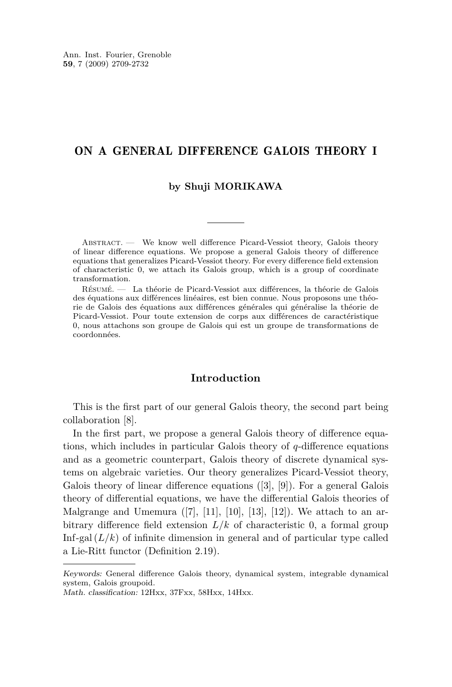#### ON A GENERAL DIFFERENCE GALOIS THEORY I

#### **by Shuji MORIKAWA**

Abstract. — We know well difference Picard-Vessiot theory, Galois theory of linear difference equations. We propose a general Galois theory of difference equations that generalizes Picard-Vessiot theory. For every difference field extension of characteristic 0, we attach its Galois group, which is a group of coordinate transformation.

Résumé. — La théorie de Picard-Vessiot aux différences, la théorie de Galois des équations aux différences linéaires, est bien connue. Nous proposons une théorie de Galois des équations aux différences générales qui généralise la théorie de Picard-Vessiot. Pour toute extension de corps aux différences de caractéristique 0, nous attachons son groupe de Galois qui est un groupe de transformations de coordonnées.

#### **Introduction**

This is the first part of our general Galois theory, the second part being collaboration [\[8\]](#page-24-0).

In the first part, we propose a general Galois theory of difference equations, which includes in particular Galois theory of *q*-difference equations and as a geometric counterpart, Galois theory of discrete dynamical systems on algebraic varieties. Our theory generalizes Picard-Vessiot theory, Galois theory of linear difference equations ([\[3\]](#page-24-0), [\[9\]](#page-24-0)). For a general Galois theory of differential equations, we have the differential Galois theories of Malgrange and Umemura  $([7], [11], [10], [13], [12])$  $([7], [11], [10], [13], [12])$  $([7], [11], [10], [13], [12])$  $([7], [11], [10], [13], [12])$  $([7], [11], [10], [13], [12])$  $([7], [11], [10], [13], [12])$  $([7], [11], [10], [13], [12])$  $([7], [11], [10], [13], [12])$  $([7], [11], [10], [13], [12])$  $([7], [11], [10], [13], [12])$  $([7], [11], [10], [13], [12])$ . We attach to an arbitrary difference field extension  $L/k$  of characteristic 0, a formal group Inf-gal  $(L/k)$  of infinite dimension in general and of particular type called a Lie-Ritt functor (Definition [2.19\)](#page-13-0).

Keywords: General difference Galois theory, dynamical system, integrable dynamical system, Galois groupoid.

Math. classification: 12Hxx, 37Fxx, 58Hxx, 14Hxx.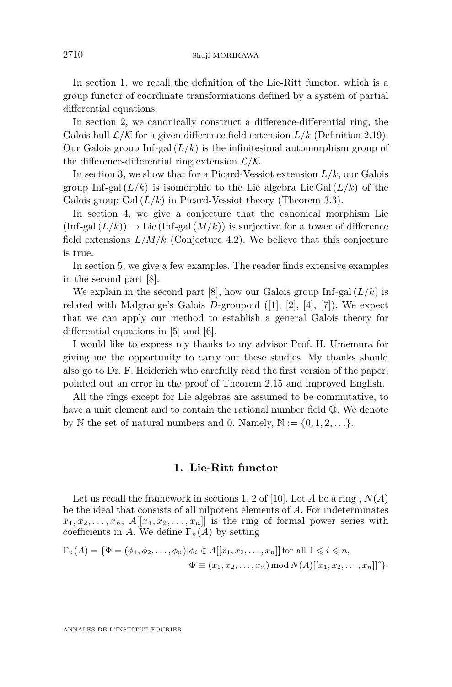<span id="page-2-0"></span>In section 1, we recall the definition of the Lie-Ritt functor, which is a group functor of coordinate transformations defined by a system of partial differential equations.

In section [2,](#page-4-0) we canonically construct a difference-differential ring, the Galois hull  $\mathcal{L}/\mathcal{K}$  for a given difference field extension  $L/k$  (Definition [2.19\)](#page-13-0). Our Galois group Inf-gal  $(L/k)$  is the infinitesimal automorphism group of the difference-differential ring extension *L/K*.

In section [3,](#page-15-0) we show that for a Picard-Vessiot extension  $L/k$ , our Galois group Inf-gal  $(L/k)$  is isomorphic to the Lie algebra Lie Gal  $(L/k)$  of the Galois group  $Gal (L/k)$  in Picard-Vessiot theory (Theorem [3.3\)](#page-17-0).

In section [4,](#page-19-0) we give a conjecture that the canonical morphism Lie  $(\text{Inf-gal}(L/k)) \to \text{Lie}(\text{Inf-gal}(M/k))$  is surjective for a tower of difference field extensions  $L/M/k$  (Conjecture [4.2\)](#page-20-0). We believe that this conjecture is true.

In section [5,](#page-20-0) we give a few examples. The reader finds extensive examples in the second part [\[8\]](#page-24-0).

We explain in the second part [\[8\]](#page-24-0), how our Galois group Inf-gal  $(L/k)$  is related with Malgrange's Galois *D*-groupoid ([\[1\]](#page-24-0), [\[2\]](#page-24-0), [\[4\]](#page-24-0), [\[7\]](#page-24-0)). We expect that we can apply our method to establish a general Galois theory for differential equations in [\[5\]](#page-24-0) and [\[6\]](#page-24-0).

I would like to express my thanks to my advisor Prof. H. Umemura for giving me the opportunity to carry out these studies. My thanks should also go to Dr. F. Heiderich who carefully read the first version of the paper, pointed out an error in the proof of Theorem [2.15](#page-10-0) and improved English.

All the rings except for Lie algebras are assumed to be commutative, to have a unit element and to contain the rational number field  $\mathbb{Q}$ . We denote by N the set of natural numbers and 0. Namely,  $\mathbb{N} := \{0, 1, 2, \ldots\}$ .

#### **1. Lie-Ritt functor**

Let us recall the framework in sections 1, [2](#page-4-0) of [\[10\]](#page-24-0). Let  $A$  be a ring,  $N(A)$ be the ideal that consists of all nilpotent elements of *A*. For indeterminates  $x_1, x_2, \ldots, x_n$ ,  $A[[x_1, x_2, \ldots, x_n]]$  is the ring of formal power series with coefficients in *A*. We define  $\Gamma_n(A)$  by setting

$$
\Gamma_n(A) = \{ \Phi = (\phi_1, \phi_2, \dots, \phi_n) | \phi_i \in A[[x_1, x_2, \dots, x_n]] \text{ for all } 1 \le i \le n, \Phi \equiv (x_1, x_2, \dots, x_n) \mod N(A)[[x_1, x_2, \dots, x_n]]^n \}.
$$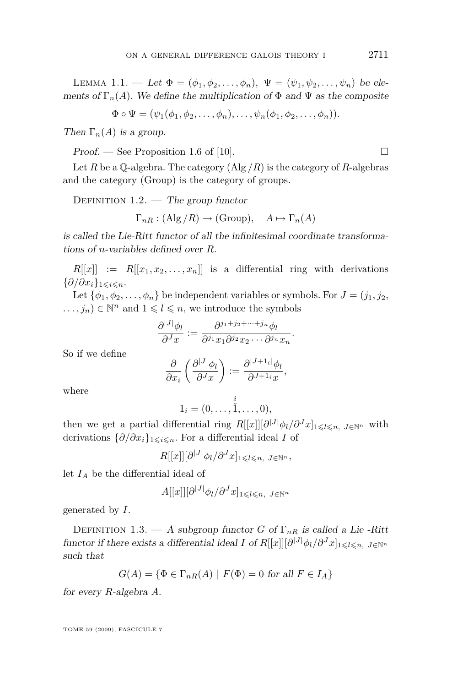LEMMA 1.1. — Let  $\Phi = (\phi_1, \phi_2, \dots, \phi_n), \Psi = (\psi_1, \psi_2, \dots, \psi_n)$  be elements of  $\Gamma_n(A)$ . We define the multiplication of  $\Phi$  and  $\Psi$  as the composite

$$
\Phi \circ \Psi = (\psi_1(\phi_1, \phi_2, \dots, \phi_n), \dots, \psi_n(\phi_1, \phi_2, \dots, \phi_n)).
$$

Then  $\Gamma_n(A)$  is a group.

 $Proof.$  — See Proposition 1.6 of [\[10\]](#page-24-0).

Let *R* be a  $\mathbb{O}$ -algebra. The category  $(\text{Alg}/R)$  is the category of *R*-algebras and the category (Group) is the category of groups.

DEFINITION  $1.2.$  — The group functor

$$
\Gamma_{nR}
$$
: (Alg/R)  $\rightarrow$  (Group),  $A \mapsto \Gamma_n(A)$ 

is called the Lie-Ritt functor of all the infinitesimal coordinate transformations of *n*-variables defined over *R*.

 $R[[x]] \cong R[[x_1, x_2, \ldots, x_n]]$  is a differential ring with derivations  ${$ *∂/∂x<sub>i</sub>* $}$ <sub>1≤*i*≤*n*</sub>.

Let  $\{\phi_1, \phi_2, \ldots, \phi_n\}$  be independent variables or symbols. For  $J = (j_1, j_2, \ldots, j_n)$  $\dots, j_n) \in \mathbb{N}^n$  and  $1 \leqslant l \leqslant n$ , we introduce the symbols

$$
\frac{\partial^{|J|}\phi_l}{\partial^j x} := \frac{\partial^{j_1+j_2+\cdots+j_n}\phi_l}{\partial^{j_1}x_1 \partial^{j_2}x_2 \cdots \partial^{j_n}x_n}.
$$

So if we define

$$
\frac{\partial}{\partial x_i} \left( \frac{\partial^{|J|} \phi_l}{\partial^J x} \right) := \frac{\partial^{|J+1_i|} \phi_l}{\partial^{J+1_i} x},
$$

where

$$
1_i=(0,\ldots,\overset{i}{\check{1}},\ldots,0),
$$

then we get a partial differential ring  $R[[x]] [\partial^{[J]} \phi_l / \partial^J x]_{1 \leq l \leq n, J \in \mathbb{N}^n}$  with derivations  $\{\partial/\partial x_i\}_{1\leqslant i\leqslant n}$ . For a differential ideal *I* of

 $R[[x]][\partial^{[J]} \phi_l/\partial^J x]_{1\leqslant l\leqslant n, J\in\mathbb{N}^n},$ 

let *I<sup>A</sup>* be the differential ideal of

$$
A[[x]][\partial^{|J|}\phi_l/\partial^J x]_{1\leqslant l\leqslant n, J\in\mathbb{N}^n}
$$

generated by *I*.

DEFINITION 1.3. — A subgroup functor *G* of  $\Gamma_{nR}$  is called a Lie-Ritt functor if there exists a differential ideal *I* of  $R[[x]][\partial^{[J]} \phi_l/\partial^J x]_{1 \leq l \leq n, J \in \mathbb{N}^n}$ such that

$$
G(A) = \{ \Phi \in \Gamma_{nR}(A) \mid F(\Phi) = 0 \text{ for all } F \in I_A \}
$$

for every *R*-algebra *A*.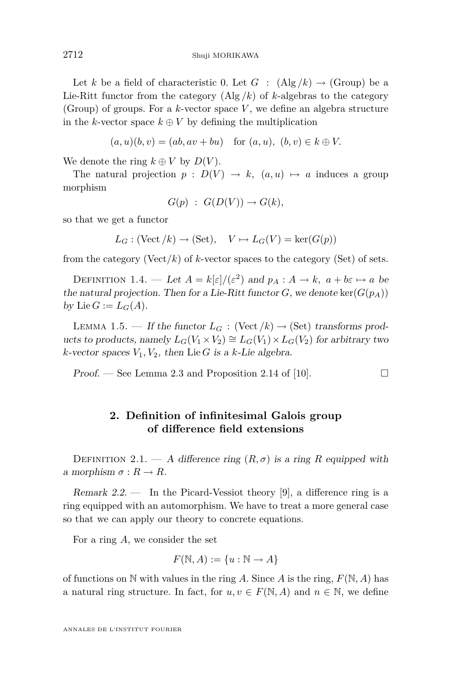<span id="page-4-0"></span>Let *k* be a field of characteristic 0. Let  $G : (\text{Alg}/k) \to (\text{Group})$  be a Lie-Ritt functor from the category  $(\text{Alg}/k)$  of *k*-algebras to the category (Group) of groups. For a *k*-vector space *V* , we define an algebra structure in the *k*-vector space  $k \oplus V$  by defining the multiplication

$$
(a, u)(b, v) = (ab, av + bu)
$$
 for  $(a, u), (b, v) \in k \oplus V$ .

We denote the ring  $k \oplus V$  by  $D(V)$ .

The natural projection  $p : D(V) \to k$ ,  $(a, u) \mapsto a$  induces a group morphism

$$
G(p) : G(D(V)) \to G(k),
$$

so that we get a functor

$$
L_G: (\text{Vect}/k) \to (\text{Set}), \quad V \mapsto L_G(V) = \text{ker}(G(p))
$$

from the category (Vect/k) of  $k$ -vector spaces to the category (Set) of sets.

DEFINITION 1.4. — Let  $A = k[\varepsilon]/(\varepsilon^2)$  and  $p_A : A \to k$ ,  $a + b\varepsilon \mapsto a$  be the natural projection. Then for a Lie-Ritt functor  $G$ , we denote ker $(G(p_A))$ by Lie  $G := L_G(A)$ .

LEMMA 1.5. — If the functor  $L_G$ : (Vect  $/k$ )  $\rightarrow$  (Set) transforms products to products, namely  $L_G(V_1 \times V_2) \cong L_G(V_1) \times L_G(V_2)$  for arbitrary two  $k$ -vector spaces  $V_1, V_2$ , then Lie *G* is a *k*-Lie algebra.

Proof. — See Lemma 2.3 and Proposition 2.14 of [\[10\]](#page-24-0).  $\Box$ 

#### **2. Definition of infinitesimal Galois group of difference field extensions**

DEFINITION 2.1. — A difference ring  $(R, \sigma)$  is a ring R equipped with a morphism  $\sigma: R \to R$ .

Remark  $2.2$ .  $\qquad$  In the Picard-Vessiot theory [\[9\]](#page-24-0), a difference ring is a ring equipped with an automorphism. We have to treat a more general case so that we can apply our theory to concrete equations.

For a ring *A*, we consider the set

$$
F(\mathbb{N}, A) := \{u : \mathbb{N} \to A\}
$$

of functions on  $\mathbb N$  with values in the ring *A*. Since *A* is the ring,  $F(\mathbb N, A)$  has a natural ring structure. In fact, for  $u, v \in F(\mathbb{N}, A)$  and  $n \in \mathbb{N}$ , we define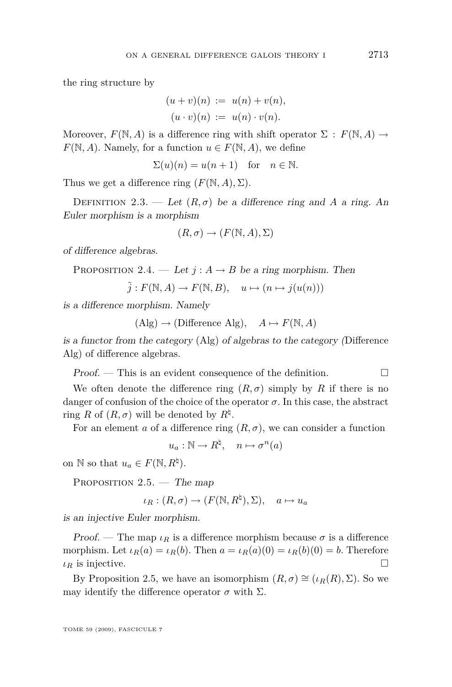<span id="page-5-0"></span>the ring structure by

$$
(u + v)(n) := u(n) + v(n),
$$
  

$$
(u \cdot v)(n) := u(n) \cdot v(n).
$$

Moreover,  $F(\mathbb{N}, A)$  is a difference ring with shift operator  $\Sigma : F(\mathbb{N}, A) \rightarrow$ *F*( $\mathbb{N}, A$ )*.* Namely, for a function  $u \in F(\mathbb{N}, A)$ , we define

$$
\Sigma(u)(n) = u(n+1) \quad \text{for} \quad n \in \mathbb{N}.
$$

Thus we get a difference ring  $(F(N, A), \Sigma)$ .

DEFINITION 2.3. — Let  $(R, \sigma)$  be a difference ring and A a ring. An Euler morphism is a morphism

$$
(R, \sigma) \to (F(\mathbb{N}, A), \Sigma)
$$

of difference algebras.

PROPOSITION 2.4. — Let 
$$
j : A \rightarrow B
$$
 be a ring morphism. Then

$$
\tilde{j}: F(\mathbb{N}, A) \to F(\mathbb{N}, B), \quad u \mapsto (n \mapsto j(u(n)))
$$

is a difference morphism. Namely

$$
(Alg) \to (Difference Alg), \quad A \mapsto F(N, A)
$$

is a functor from the category (Alg) of algebras to the category (Difference Alg) of difference algebras.

 $Proof.$  — This is an evident consequence of the definition.  $\Box$ 

We often denote the difference ring  $(R, \sigma)$  simply by R if there is no danger of confusion of the choice of the operator  $\sigma$ . In this case, the abstract ring *R* of  $(R, \sigma)$  will be denoted by  $R^{\natural}$ .

For an element *a* of a difference ring  $(R, \sigma)$ , we can consider a function

 $u_a: \mathbb{N} \to R^{\natural}, \quad n \mapsto \sigma^n(a)$ 

on  $\mathbb N$  so that  $u_a \in F(\mathbb N, R^{\natural})$ .

PROPOSITION  $2.5.$  — The map

$$
\iota_R : (R, \sigma) \to (F(\mathbb{N}, R^{\natural}), \Sigma), \quad a \mapsto u_a
$$

is an injective Euler morphism.

Proof. — The map  $\iota_R$  is a difference morphism because  $\sigma$  is a difference morphism. Let  $\iota_R(a) = \iota_R(b)$ . Then  $a = \iota_R(a)(0) = \iota_R(b)(0) = b$ . Therefore *ιR* is injective. □

By Proposition 2.5, we have an isomorphism  $(R, \sigma) \cong (\iota_R(R), \Sigma)$ . So we may identify the difference operator  $\sigma$  with  $\Sigma$ .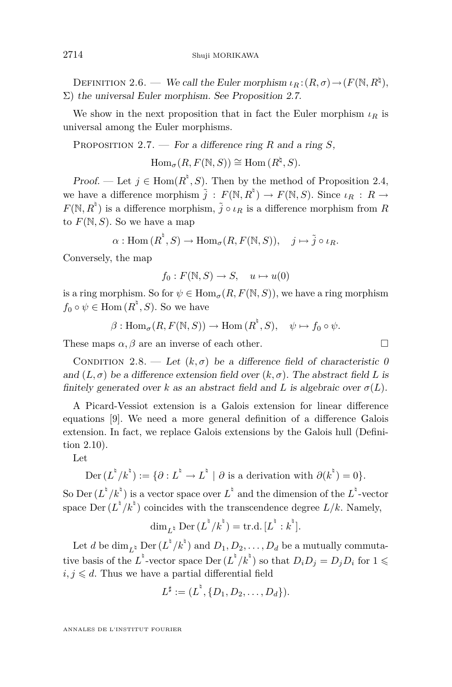<span id="page-6-0"></span>DEFINITION 2.6. — We call the Euler morphism  $\iota_R : (R, \sigma) \to (F(\mathbb{N}, R^{\natural}),$  $\Sigma$ ) the universal Euler morphism. See Proposition 2.7.

We show in the next proposition that in fact the Euler morphism  $\iota_R$  is universal among the Euler morphisms.

Proposition 2.7. — For a difference ring *R* and a ring *S*,

 $Hom_{\sigma}(R, F(\mathbb{N}, S)) \cong Hom(R^{\natural}, S).$ 

Proof. — Let  $j \in \text{Hom}(R^{\dagger}, S)$ . Then by the method of Proposition [2.4,](#page-5-0) we have a difference morphism  $\tilde{j} : F(\mathbb{N}, R^{\dagger}) \to F(\mathbb{N}, S)$ . Since  $\iota_R : R \to$  $F(\mathbb{N}, R^{\dagger})$  is a difference morphism,  $\tilde{j} \circ \iota_R$  is a difference morphism from *R* to  $F(\mathbb{N}, S)$ . So we have a map

$$
\alpha: \mathrm{Hom}\,(R^{\hbar}, S) \to \mathrm{Hom}_{\sigma}(R, F(\mathbb{N}, S)), \quad j \mapsto \tilde{j} \circ \iota_R.
$$

Conversely, the map

$$
f_0: F(\mathbb{N}, S) \to S, \quad u \mapsto u(0)
$$

is a ring morphism. So for  $\psi \in \text{Hom}_{\sigma}(R, F(\mathbb{N}, S))$ , we have a ring morphism  $f_0 \circ \psi \in \text{Hom}(R^{\dagger}, S)$ . So we have

$$
\beta: \operatorname{Hom}_{\sigma}(R, F(\mathbb{N}, S)) \to \operatorname{Hom}(R^{\natural}, S), \quad \psi \mapsto f_0 \circ \psi.
$$

These maps  $\alpha, \beta$  are an inverse of each other.

CONDITION 2.8. — Let  $(k, \sigma)$  be a difference field of characteristic 0 and  $(L, \sigma)$  be a difference extension field over  $(k, \sigma)$ . The abstract field L is finitely generated over *k* as an abstract field and *L* is algebraic over  $\sigma(L)$ .

A Picard-Vessiot extension is a Galois extension for linear difference equations [\[9\]](#page-24-0). We need a more general definition of a difference Galois extension. In fact, we replace Galois extensions by the Galois hull (Definition [2.10\)](#page-7-0).

Let

$$
\mathrm{Der}\,(L^\natural/k^\natural):=\{\partial: L^\natural\to L^\natural\mid \partial\text{ is a derivation with }\partial(k^\natural)=0\}.
$$

So Der  $(L^{\frac{h}{2}}/k^{\frac{h}{2}})$  is a vector space over  $L^{\frac{h}{2}}$  and the dimension of the  $L^{\frac{h}{2}}$ -vector space  $\text{Der } (L^{\dagger}/k^{\dagger})$  coincides with the transcendence degree  $L/k$ . Namely,

$$
\dim_{L^{\natural}} \operatorname{Der} (L^{\natural}/k^{\natural}) = \operatorname{tr.d.} [L^{\natural} : k^{\natural}].
$$

Let *d* be  $\dim_{L^{\natural}} \text{Der} (L^{\natural}/k^{\natural})$  and  $D_1, D_2, \ldots, D_d$  be a mutually commutative basis of the  $L^{\flat}$ -vector space Der  $(L^{\flat}/k^{\flat})$  so that  $D_i D_j = D_j D_i$  for  $1 \leq$  $i, j \leq d$ . Thus we have a partial differential field

$$
L^{\sharp} := (L^{\sharp}, \{D_1, D_2, \ldots, D_d\}).
$$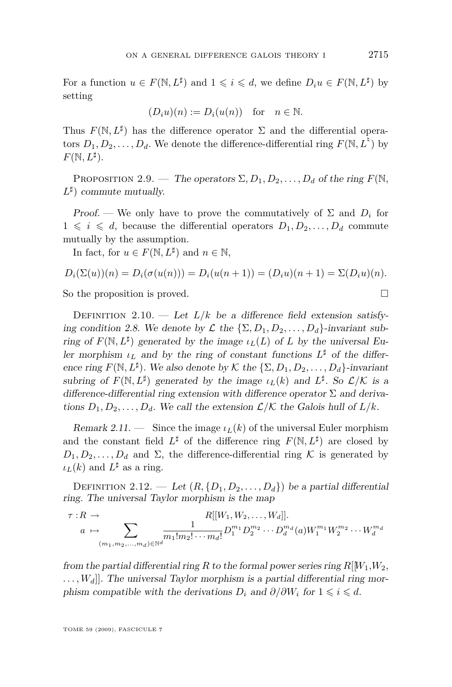<span id="page-7-0"></span>For a function  $u \in F(\mathbb{N}, L^{\sharp})$  and  $1 \leqslant i \leqslant d$ , we define  $D_i u \in F(\mathbb{N}, L^{\sharp})$  by setting

$$
(D_i u)(n) := D_i(u(n)) \text{ for } n \in \mathbb{N}.
$$

Thus  $F(\mathbb{N}, L^{\sharp})$  has the difference operator  $\Sigma$  and the differential operators  $D_1, D_2, \ldots, D_d$ . We denote the difference-differential ring  $F(\mathbb{N}, L^{\dagger})$  by  $F(\mathbb{N}, L^{\sharp}).$ 

PROPOSITION 2.9. — The operators  $\Sigma, D_1, D_2, \ldots, D_d$  of the ring  $F(\mathbb{N},$  $L^{\sharp}$ ) commute mutually.

Proof. — We only have to prove the commutatively of  $\Sigma$  and  $D_i$  for  $1 \leq i \leq d$ , because the differential operators  $D_1, D_2, \ldots, D_d$  commute mutually by the assumption.

In fact, for  $u \in F(\mathbb{N}, L^{\sharp})$  and  $n \in \mathbb{N}$ ,

$$
D_i(\Sigma(u))(n) = D_i(\sigma(u(n))) = D_i(u(n+1)) = (D_i u)(n+1) = \Sigma(D_i u)(n).
$$

So the proposition is proved.

DEFINITION 2.10. — Let  $L/k$  be a difference field extension satisfy-ing condition [2.8.](#page-6-0) We denote by  $\mathcal{L}$  the  $\{\Sigma, D_1, D_2, \ldots, D_d\}$ -invariant subring of  $F(\mathbb{N}, L^{\sharp})$  generated by the image  $\iota_L(L)$  of *L* by the universal Euler morphism  $\iota_L$  and by the ring of constant functions  $L^{\sharp}$  of the difference ring  $F(\mathbb{N}, L^{\sharp})$ . We also denote by  $K$  the  $\{\Sigma, D_1, D_2, \ldots, D_d\}$ -invariant subring of  $F(\mathbb{N}, L^{\sharp})$  generated by the image  $\iota_L(k)$  and  $L^{\sharp}$ . So  $\mathcal{L}/\mathcal{K}$  is a difference-differential ring extension with difference operator  $\Sigma$  and derivations  $D_1, D_2, \ldots, D_d$ . We call the extension  $\mathcal{L}/\mathcal{K}$  the Galois hull of  $L/k$ .

Remark 2.11. — Since the image  $\iota_L(k)$  of the universal Euler morphism and the constant field  $L^{\sharp}$  of the difference ring  $F(\mathbb{N}, L^{\sharp})$  are closed by  $D_1, D_2, \ldots, D_d$  and  $\Sigma$ , the difference-differential ring K is generated by *ι*<sub>*L*</sub>(*k*) and *L*<sup> $\sharp$ </sup> as a ring.

DEFINITION 2.12. — Let  $(R, \{D_1, D_2, \ldots, D_d\})$  be a partial differential ring. The universal Taylor morphism is the map

$$
\tau: R \to \sum_{(m_1, m_2, \dots, m_d) \in \mathbb{N}^d} \frac{R[[W_1, W_2, \dots, W_d]]}{m_1! m_2! \cdots m_d!} D_1^{m_1} D_2^{m_2} \cdots D_d^{m_d} (a) W_1^{m_1} W_2^{m_2} \cdots W_d^{m_d}
$$

from the partial differential ring *R* to the formal power series ring  $R[W_1, W_2,$  $\dots, W_d$ . The universal Taylor morphism is a partial differential ring morphism compatible with the derivations  $D_i$  and  $\partial/\partial W_i$  for  $1 \leq i \leq d$ .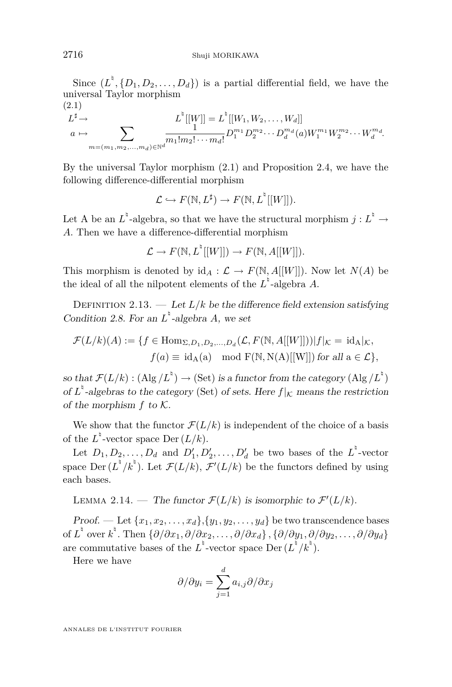Since  $(L^{\dagger}, \{D_1, D_2, \ldots, D_d\})$  is a partial differential field, we have the universal Taylor morphism (2.1)

$$
L^{\sharp} \to L^{\sharp}[[W]] = L^{\sharp}[[W_1, W_2, \dots, W_d]]
$$
  
\n
$$
a \mapsto \sum_{m=(m_1, m_2, \dots, m_d) \in \mathbb{N}^d} \frac{1}{m_1! m_2! \cdots m_d!} D_1^{m_1} D_2^{m_2} \cdots D_d^{m_d} (a) W_1^{m_1} W_2^{m_2} \cdots W_d^{m_d}.
$$

By the universal Taylor morphism (2.1) and Proposition [2.4,](#page-5-0) we have the following difference-differential morphism

$$
\mathcal{L} \hookrightarrow F(\mathbb{N}, L^{\sharp}) \to F(\mathbb{N}, L^{\sharp}[[W]]).
$$

Let A be an  $L^{\nmid}$ -algebra, so that we have the structural morphism  $j : L^{\nmid} \to$ *A*. Then we have a difference-differential morphism

$$
\mathcal{L} \to F(\mathbb{N}, L^{\dagger}[[W]]) \to F(\mathbb{N}, A[[W]]).
$$

This morphism is denoted by  $\mathrm{id}_A : \mathcal{L} \to F(\mathbb{N}, A[[W]])$ . Now let  $N(A)$  be the ideal of all the nilpotent elements of the  $L^{\dagger}$ -algebra *A*.

DEFINITION 2.13. — Let  $L/k$  be the difference field extension satisfying Condition [2.8.](#page-6-0) For an  $L^{\dagger}$ -algebra *A*, we set

$$
\mathcal{F}(L/k)(A) := \{ f \in \text{Hom}_{\Sigma, D_1, D_2, \dots, D_d}(\mathcal{L}, F(\mathbb{N}, A[[W]])) | f|_{\mathcal{K}} = \text{id}_A|_{\mathcal{K}}, f(a) \equiv \text{id}_A(a) \mod F(\mathbb{N}, \text{N}(A)[[W]]) \text{ for all } a \in \mathcal{L} \},
$$

so that  $\mathcal{F}(L/k) : (\text{Alg}/L^{\natural}) \to (\text{Set})$  is a functor from the category  $(\text{Alg}/L^{\natural})$ of  $L^{\dagger}$ -algebras to the category (Set) of sets. Here  $f|_K$  means the restriction of the morphism *f* to *K*.

We show that the functor  $\mathcal{F}(L/k)$  is independent of the choice of a basis of the  $L^{\dagger}$ -vector space Der  $(L/k)$ .

Let  $D_1, D_2, \ldots, D_d$  and  $D'_1, D'_2, \ldots, D'_d$  be two bases of the  $L^{\dagger}$ -vector space Der  $(L^{\dagger}/k^{\dagger})$ . Let  $\mathcal{F}(L/k)$ ,  $\mathcal{F}'(L/k)$  be the functors defined by using each bases.

LEMMA 2.14. — The functor  $\mathcal{F}(L/k)$  is isomorphic to  $\mathcal{F}'(L/k)$ .

Proof. — Let  $\{x_1, x_2, \ldots, x_d\}$ ,  $\{y_1, y_2, \ldots, y_d\}$  be two transcendence bases  $\{ \partial/\partial x_1, \partial/\partial x_2, \ldots, \partial/\partial x_d \}, \{ \partial/\partial y_1, \partial/\partial y_2, \ldots, \partial/\partial y_d \}$ are commutative bases of the  $L^{\frac{h}{2}}$ -vector space Der  $(L^{\frac{h}{2}}/k^{\frac{h}{2}})$ .

Here we have

$$
\partial/\partial y_i = \sum_{j=1}^d a_{i,j} \partial/\partial x_j
$$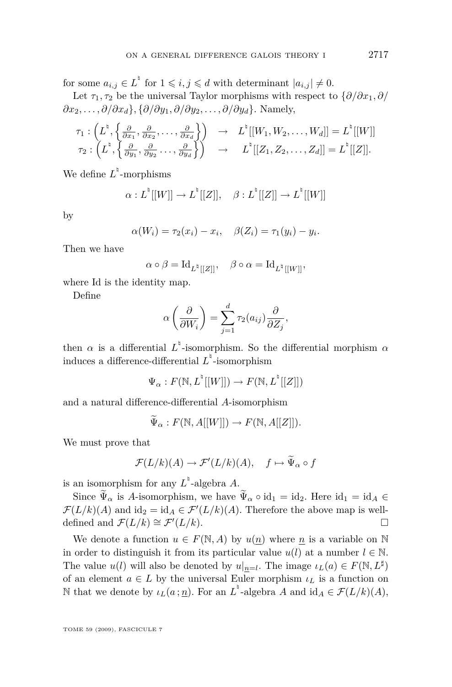for some  $a_{i,j} \in L^{\mathfrak{h}}$  for  $1 \leqslant i, j \leqslant d$  with determinant  $|a_{i,j}| \neq 0$ .

Let  $\tau_1, \tau_2$  be the universal Taylor morphisms with respect to  $\{\partial/\partial x_1, \partial/\partial x_2\}$ *∂x*2*, . . . , ∂/∂xd}, {∂/∂y*1*, ∂/∂y*2*, . . . , ∂/∂yd}.* Namely,

$$
\tau_1: \left( L^{\natural}, \left\{ \frac{\partial}{\partial x_1}, \frac{\partial}{\partial x_2}, \ldots, \frac{\partial}{\partial x_d} \right\} \right) \rightarrow L^{\natural}[[W_1, W_2, \ldots, W_d]] = L^{\natural}[[W]] \tau_2: \left( L^{\natural}, \left\{ \frac{\partial}{\partial y_1}, \frac{\partial}{\partial y_2}, \ldots, \frac{\partial}{\partial y_d} \right\} \right) \rightarrow L^{\natural}[[Z_1, Z_2, \ldots, Z_d]] = L^{\natural}[[Z]].
$$

We define  $L^{\dagger}$ -morphisms

$$
\alpha: L^{\mathfrak{h}}[[W]] \to L^{\mathfrak{h}}[[Z]], \quad \beta: L^{\mathfrak{h}}[[Z]] \to L^{\mathfrak{h}}[[W]]
$$

by

$$
\alpha(W_i) = \tau_2(x_i) - x_i, \quad \beta(Z_i) = \tau_1(y_i) - y_i.
$$

Then we have

$$
\alpha\circ\beta=\mathrm{Id}_{L^\natural[[Z]]},\quad \beta\circ\alpha=\mathrm{Id}_{L^\natural[[W]]},
$$

where Id is the identity map.

Define

$$
\alpha\left(\frac{\partial}{\partial W_i}\right) = \sum_{j=1}^d \tau_2(a_{ij}) \frac{\partial}{\partial Z_j},
$$

then  $\alpha$  is a differential  $L^{\dagger}$ -isomorphism. So the differential morphism  $\alpha$ induces a difference-differential  $L^{\dagger}$ -isomorphism

$$
\Psi_{\alpha}: F(\mathbb{N}, L^{\mathbb{N}}[[W]]) \to F(\mathbb{N}, L^{\mathbb{N}}[[Z]])
$$

and a natural difference-differential *A*-isomorphism

$$
\widetilde{\Psi}_{\alpha}: F(\mathbb{N}, A[[W]]) \to F(\mathbb{N}, A[[Z]]).
$$

We must prove that

$$
\mathcal{F}(L/k)(A) \to \mathcal{F}'(L/k)(A), \quad f \mapsto \widetilde{\Psi}_{\alpha} \circ f
$$

is an isomorphism for any  $L^{\dagger}$ -algebra *A*.

Since  $\widetilde{\Psi}_{\alpha}$  is *A*-isomorphism, we have  $\widetilde{\Psi}_{\alpha} \circ id_1 = id_2$ . Here  $id_1 = id_A \in$  $\mathcal{F}(L/k)(A)$  and  $\mathrm{id}_2 = \mathrm{id}_A \in \mathcal{F}'(L/k)(A)$ . Therefore the above map is welldefined and  $\mathcal{F}(L/k) \cong \mathcal{F}'(L/k)$ . □

We denote a function  $u \in F(\mathbb{N}, A)$  by  $u(n)$  where *n* is a variable on N in order to distinguish it from its particular value  $u(l)$  at a number  $l \in \mathbb{N}$ . The value  $u(l)$  will also be denoted by  $u|_{n=l}$ . The image  $\iota_L(a) \in F(\mathbb{N}, L^{\sharp})$ of an element  $a \in L$  by the universal Euler morphism  $\iota_L$  is a function on N that we denote by  $\iota_L(a; \underline{n})$ . For an  $L^{\dagger}$ -algebra *A* and  $\mathrm{id}_A \in \mathcal{F}(L/k)(A)$ ,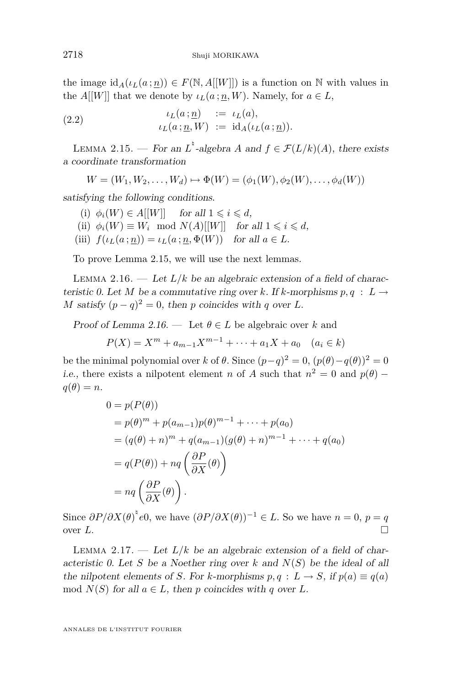<span id="page-10-0"></span>the image  $\text{id}_{A}(\iota_{L}(a;\underline{n})) \in F(\mathbb{N}, A[[W]])$  is a function on N with values in the *A*[[*W*]] that we denote by  $\iota_L(a:n, W)$ . Namely, for  $a \in L$ ,

(2.2) 
$$
\iota_L(a; \underline{n}) := \iota_L(a),
$$

$$
\iota_L(a; \underline{n}, W) := \mathrm{id}_A(\iota_L(a; \underline{n})).
$$

LEMMA 2.15. — For an  $L^{\dagger}$ -algebra *A* and  $f \in \mathcal{F}(L/k)(A)$ , there exists a coordinate transformation

 $W = (W_1, W_2, \ldots, W_d) \mapsto \Phi(W) = (\phi_1(W), \phi_2(W), \ldots, \phi_d(W))$ 

satisfying the following conditions.

- (i)  $\phi_i(W) \in A[[W]]$  for all  $1 \leq i \leq d$ ,
- (ii)  $\phi_i(W) \equiv W_i \mod N(A)$ [[W]] for all  $1 \leq i \leq d$ ,
- (iii)  $f(\iota_L(a;n)) = \iota_L(a;n,\Phi(W))$  for all  $a \in L$ .

To prove Lemma 2.15, we will use the next lemmas.

LEMMA 2.16. — Let  $L/k$  be an algebraic extension of a field of characteristic 0. Let *M* be a commutative ring over *k*. If *k*-morphisms  $p, q : L \rightarrow$ *M* satisfy  $(p - q)^2 = 0$ , then *p* coincides with *q* over *L*.

Proof of Lemma 2.16. — Let  $\theta \in L$  be algebraic over k and

$$
P(X) = Xm + am-1Xm-1 + \dots + a1X + a0 \quad (ai \in k)
$$

be the minimal polynomial over *k* of  $\theta$ . Since  $(p-q)^2 = 0$ ,  $(p(\theta) - q(\theta))^2 = 0$ *i.e.*, there exists a nilpotent element *n* of *A* such that  $n^2 = 0$  and  $p(\theta)$  –  $q(\theta) = n$ .

$$
0 = p(P(\theta))
$$
  
=  $p(\theta)^m + p(a_{m-1})p(\theta)^{m-1} + \cdots + p(a_0)$   
=  $(q(\theta) + n)^m + q(a_{m-1})(g(\theta) + n)^{m-1} + \cdots + q(a_0)$   
=  $q(P(\theta)) + nq \left(\frac{\partial P}{\partial X}(\theta)\right)$   
=  $nq \left(\frac{\partial P}{\partial X}(\theta)\right)$ .

Since  $\partial P/\partial X(\theta)^{\dagger}e0$ , we have  $(\partial P/\partial X(\theta))^{-1} \in L$ . So we have  $n = 0$ ,  $p = q$ over  $L$ .

LEMMA 2.17.  $\qquad$  Let  $L/k$  be an algebraic extension of a field of characteristic 0. Let *S* be a Noether ring over *k* and *N*(*S*) be the ideal of all the nilpotent elements of *S*. For *k*-morphisms  $p, q : L \to S$ , if  $p(a) \equiv q(a)$ mod  $N(S)$  for all  $a \in L$ , then p coincides with q over L.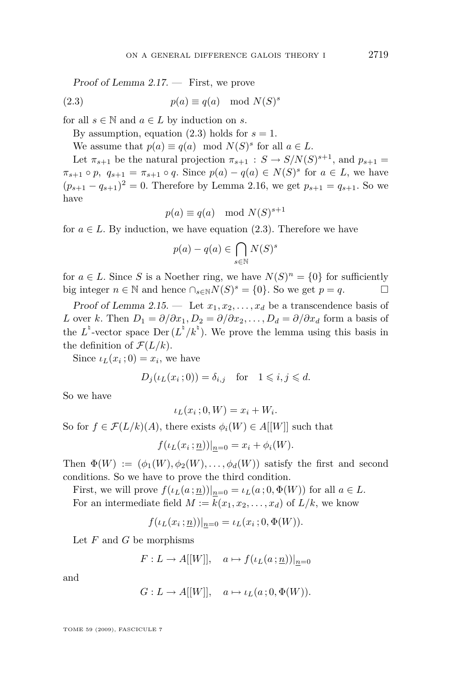Proof of Lemma [2.17.](#page-10-0) — First, we prove

(2.3) 
$$
p(a) \equiv q(a) \mod N(S)^s
$$

for all  $s \in \mathbb{N}$  and  $a \in L$  by induction on *s*.

By assumption, equation  $(2.3)$  holds for  $s = 1$ .

We assume that  $p(a) \equiv q(a) \mod N(S)^s$  for all  $a \in L$ .

Let  $\pi_{s+1}$  be the natural projection  $\pi_{s+1}$  :  $S \to S/N(S)^{s+1}$ , and  $p_{s+1}$  $\pi_{s+1} \circ p$ ,  $q_{s+1} = \pi_{s+1} \circ q$ . Since  $p(a) - q(a) \in N(S)^s$  for  $a \in L$ , we have  $(p_{s+1} - q_{s+1})^2 = 0$ . Therefore by Lemma [2.16,](#page-10-0) we get  $p_{s+1} = q_{s+1}$ . So we have

$$
p(a) \equiv q(a) \mod N(S)^{s+1}
$$

for  $a \in L$ . By induction, we have equation (2.3). Therefore we have

$$
p(a) - q(a) \in \bigcap_{s \in \mathbb{N}} N(S)^s
$$

for  $a \in L$ . Since *S* is a Noether ring, we have  $N(S)^n = \{0\}$  for sufficiently big integer  $n \in \mathbb{N}$  and hence  $\bigcap_{s \in \mathbb{N}} N(S)^s = \{0\}$ . So we get  $p = q$ .

Proof of Lemma [2.15.](#page-10-0) — Let  $x_1, x_2, \ldots, x_d$  be a transcendence basis of *L* over *k*. Then  $D_1 = \partial/\partial x_1, D_2 = \partial/\partial x_2, \ldots, D_d = \partial/\partial x_d$  form a basis of the  $L^{\dagger}$ -vector space Der  $(L^{\dagger}/k^{\dagger})$ . We prove the lemma using this basis in the definition of  $\mathcal{F}(L/k)$ .

Since  $\iota_L(x_i; 0) = x_i$ , we have

$$
D_j(\iota_L(x_i; 0)) = \delta_{i,j} \quad \text{for} \quad 1 \leqslant i, j \leqslant d.
$$

So we have

$$
\iota_L(x_i; 0, W) = x_i + W_i.
$$

So for  $f \in \mathcal{F}(L/k)(A)$ , there exists  $\phi_i(W) \in A[[W]]$  such that

$$
f(\iota_L(x_i; \underline{n}))|_{\underline{n}=0} = x_i + \phi_i(W).
$$

Then  $\Phi(W) := (\phi_1(W), \phi_2(W), \dots, \phi_d(W))$  satisfy the first and second conditions. So we have to prove the third condition.

First, we will prove  $f(\iota_L(a;\underline{n}))|_{n=0} = \iota_L(a;0,\Phi(W))$  for all  $a \in L$ . For an intermediate field  $M := k(x_1, x_2, \ldots, x_d)$  of  $L/k$ , we know

$$
f(\iota_L(x_i; \underline{n}))|_{\underline{n}=0} = \iota_L(x_i; 0, \Phi(W)).
$$

Let *F* and *G* be morphisms

$$
F: L \to A[[W]], \quad a \mapsto f(\iota_L(a : \underline{n}))|_{\underline{n} = 0}
$$

and

$$
G: L \to A[[W]], \quad a \mapsto \iota_L(a \,; 0, \Phi(W)).
$$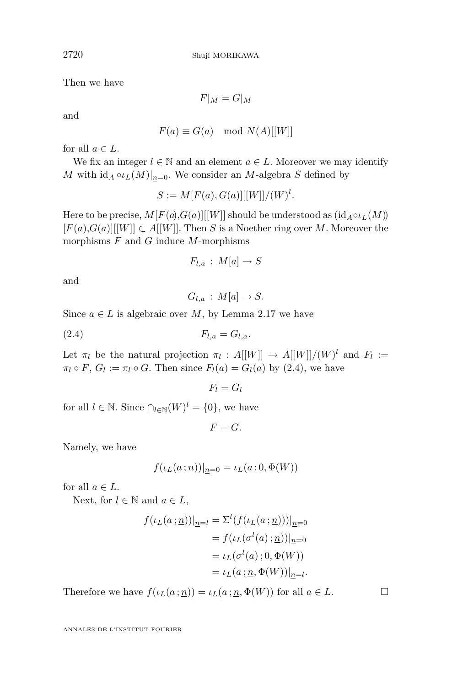Then we have

 $F|_M = G|_M$ 

and

$$
F(a) \equiv G(a) \mod N(A)[[W]]
$$

for all  $a \in L$ .

We fix an integer  $l \in \mathbb{N}$  and an element  $a \in L$ . Moreover we may identify *M* with  $\mathrm{id}_A \circ \iota_L(M)|_{n=0}$ . We consider an *M*-algebra *S* defined by

$$
S := M[F(a), G(a)][[W]]/(W)^{l}.
$$

Here to be precise,  $M[F(a),G(a)][[W]]$  should be understood as  $(id_A \circ \iota_L(M))$  $[F(a),G(a)][[W]] \subset A[[W]]$ . Then *S* is a Noether ring over *M*. Moreover the morphisms *F* and *G* induce *M*-morphisms

$$
F_{l,a}:M[a]\to S
$$

and

$$
G_{l,a}:M[a]\to S.
$$

Since  $a \in L$  is algebraic over *M*, by Lemma [2.17](#page-10-0) we have

$$
F_{l,a} = G_{l,a}.
$$

Let  $\pi_l$  be the natural projection  $\pi_l : A[[W]] \to A[[W]]/(W)^l$  and  $F_l :=$  $\pi_l \circ F$ ,  $G_l := \pi_l \circ G$ . Then since  $F_l(a) = G_l(a)$  by (2.4), we have

 $F_l = G_l$ 

for all  $l \in \mathbb{N}$ . Since  $\bigcap_{l \in \mathbb{N}} (W)^l = \{0\}$ , we have

 $F = G$ .

Namely, we have

$$
f(\iota_L(a:\underline{n}))|_{\underline{n}=0} = \iota_L(a:0,\Phi(W))
$$

for all  $a \in L$ .

Next, for  $l \in \mathbb{N}$  and  $a \in L$ ,

$$
f(\iota_L(a; \underline{n}))|_{\underline{n}=l} = \Sigma^l (f(\iota_L(a; \underline{n})))|_{\underline{n}=0}
$$
  

$$
= f(\iota_L(\sigma^l(a); \underline{n}))|_{\underline{n}=0}
$$
  

$$
= \iota_L(\sigma^l(a); 0, \Phi(W))
$$
  

$$
= \iota_L(a; \underline{n}, \Phi(W))|_{\underline{n}=l}.
$$

Therefore we have  $f(\iota_L(a; \underline{n})) = \iota_L(a; \underline{n}, \Phi(W))$  for all  $a \in L$ .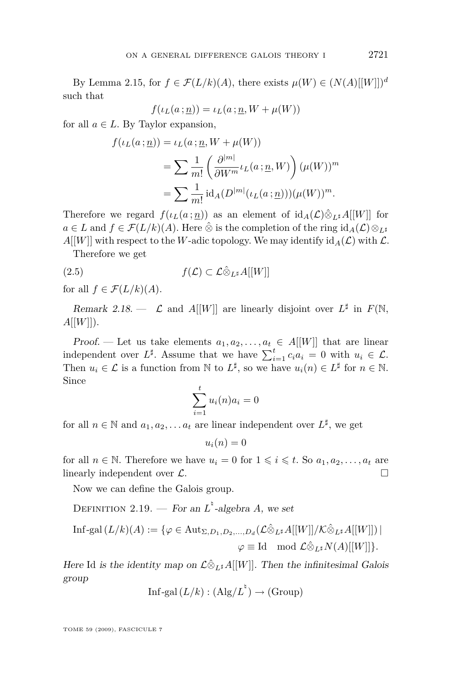<span id="page-13-0"></span>By Lemma [2.15,](#page-10-0) for  $f \in \mathcal{F}(L/k)(A)$ , there exists  $\mu(W) \in (N(A)[[W]])^d$ such that

$$
f(\iota_L(a \,; \underline{n})) = \iota_L(a \,; \underline{n}, W + \mu(W))
$$

for all  $a \in L$ . By Taylor expansion,

$$
f(\iota_L(a : \underline{n})) = \iota_L(a : \underline{n}, W + \mu(W))
$$
  
= 
$$
\sum \frac{1}{m!} \left( \frac{\partial^{|m|}}{\partial W^m} \iota_L(a : \underline{n}, W) \right) (\mu(W))^m
$$
  
= 
$$
\sum \frac{1}{m!} \mathrm{id}_A(D^{|m|}(\iota_L(a : \underline{n}))) (\mu(W))^m.
$$

Therefore we regard  $f(\iota_L(a;n))$  as an element of  $\mathrm{id}_A(\mathcal{L})\hat{\otimes}_{L^*}A[[W]]$  for  $a \in L$  and  $f \in \mathcal{F}(L/k)(A)$ . Here  $\hat{\otimes}$  is the completion of the ring  $id_A(\mathcal{L}) \otimes_{L^{\sharp}}$ 

 $A[[W]]$  with respect to the *W*-adic topology. We may identify  $\mathrm{id}_{A}(\mathcal{L})$  with  $\mathcal{L}$ . Therefore we get

(2.5) 
$$
f(\mathcal{L}) \subset \mathcal{L} \hat{\otimes}_{L^{\sharp}} A[[W]]
$$

for all  $f \in \mathcal{F}(L/k)(A)$ .

Remark 2.18.  $\leftarrow$   $\mathcal{L}$  and A[[W]] are linearly disjoint over  $L^{\sharp}$  in  $F(\mathbb{N},$  $A[[W]]$ ).

Proof. — Let us take elements  $a_1, a_2, \ldots, a_t \in A[[W]]$  that are linear independent over  $L^{\sharp}$ . Assume that we have  $\sum_{i=1}^{t} c_i a_i = 0$  with  $u_i \in \mathcal{L}$ . Then  $u_i \in \mathcal{L}$  is a function from  $\mathbb{N}$  to  $L^{\sharp}$ , so we have  $u_i(n) \in L^{\sharp}$  for  $n \in \mathbb{N}$ . Since

$$
\sum_{i=1}^{t} u_i(n)a_i = 0
$$

for all  $n \in \mathbb{N}$  and  $a_1, a_2, \ldots a_t$  are linear independent over  $L^{\sharp}$ , we get

 $u_i(n) = 0$ 

for all  $n \in \mathbb{N}$ . Therefore we have  $u_i = 0$  for  $1 \leq i \leq t$ . So  $a_1, a_2, \ldots, a_t$  are linearly independent over *L*.

Now we can define the Galois group.

DEFINITION 2.19. — For an  $L^{\dagger}$ -algebra *A*, we set

$$
\text{Inf-gal}(L/k)(A) := \{ \varphi \in \text{Aut}_{\Sigma, D_1, D_2, \dots, D_d}(\mathcal{L} \hat{\otimes}_{L^\sharp} A[[W]] / \mathcal{K} \hat{\otimes}_{L^\sharp} A[[W]]) \mid
$$
  

$$
\varphi \equiv \text{Id} \mod \mathcal{L} \hat{\otimes}_{L^\sharp} N(A)[[W]] \}.
$$

Here Id is the identity map on  $\mathcal{L}\hat{\otimes}_{L^{\sharp}}A[[W]]$ . Then the infinitesimal Galois group

Inf-gal 
$$
(L/k) : (\text{Alg}/L^{\natural}) \to (\text{Group})
$$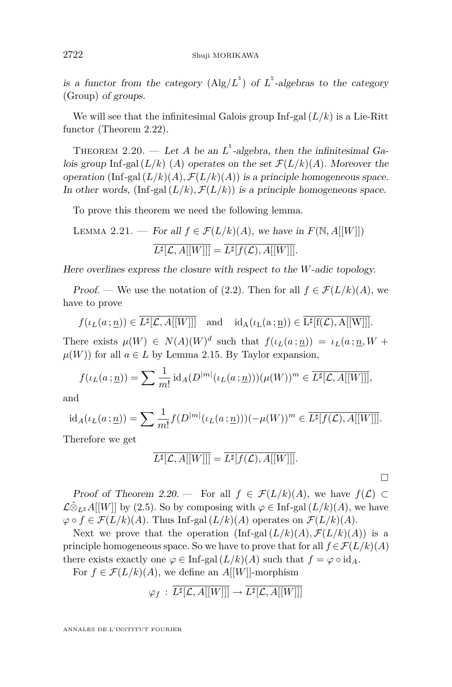<span id="page-14-0"></span>is a functor from the category  $(Alg/L^{\{e\}})$  of  $L^{\{e\}}$ -algebras to the category (Group) of groups.

We will see that the infinitesimal Galois group  $\text{Inf-gal}(L/k)$  is a Lie-Ritt functor (Theorem [2.22\)](#page-15-0).

THEOREM 2.20. — Let *A* be an  $L^{\dagger}$ -algebra, then the infinitesimal Galois group Inf-gal  $(L/k)$  (*A*) operates on the set  $\mathcal{F}(L/k)(A)$ . Moreover the operation (Inf-gal  $(L/k)(A)$ ,  $\mathcal{F}(L/k)(A)$ ) is a principle homogeneous space. In other words,  $(\text{Inf-gal}(L/k), \mathcal{F}(L/k))$  is a principle homogeneous space.

To prove this theorem we need the following lemma.

LEMMA 2.21. — For all 
$$
f \in \mathcal{F}(L/k)(A)
$$
, we have in  $F(\mathbb{N}, A[[W]])$   

$$
\overline{L^{\sharp}[\mathcal{L}, A[[W]]]} = \overline{L^{\sharp}[f(\mathcal{L}), A[[W]]]}.
$$

Here overlines express the closure with respect to the *W*-adic topology.

Proof. — We use the notation of [\(2.2\)](#page-10-0). Then for all  $f \in \mathcal{F}(L/k)(A)$ , we have to prove

$$
f(\iota_L(a\,;\underline{n}))\in \overline{L^{\sharp}[\mathcal{L},A[[W]]]} \quad \text{and} \quad \mathrm{id}_A(\iota_L(a\,;\underline{n}))\in \overline{L^{\sharp}[\mathrm{f}(\mathcal{L}),A[[W]]]}.
$$

There exists  $\mu(W) \in N(A)(W)^d$  such that  $f(\iota_L(a;\underline{n})) = \iota_L(a;\underline{n},W +$  $\mu(W)$  for all  $a \in L$  by Lemma [2.15.](#page-10-0) By Taylor expansion,

$$
f(\iota_L(a:\underline{n})) = \sum \frac{1}{m!} \operatorname{id}_A(D^{|m|}(\iota_L(a:\underline{n})))(\mu(W))^m \in \overline{L^{\sharp}[\mathcal{L},A[[W]]]},
$$

and

$$
\mathrm{id}_A(\iota_L(a:\underline{n})) = \sum \frac{1}{m!} f(D^{|m|}(\iota_L(a:\underline{n})))(-\mu(W))^m \in \overline{L^{\sharp}[f(\mathcal{L}),A[[W]]]}.
$$

Therefore we get

$$
\overline{L^{\sharp}[\mathcal{L},A[[W]]]} = \overline{L^{\sharp}[f(\mathcal{L}),A[[W]]]}.
$$

 $\Box$ 

Proof of Theorem 2.20. — For all  $f \in \mathcal{F}(L/k)(A)$ , we have  $f(\mathcal{L}) \subset$ *L*⊗ $L\hat{\otimes}_{L^{\sharp}}A[[W]]$  by [\(2.5\)](#page-13-0). So by composing with  $\varphi \in \text{Inf-gal}(L/k)(A)$ , we have  $\varphi$  *∘*  $f$  ∈  $\mathcal{F}(L/k)(A)$ . Thus Inf-gal  $(L/k)(A)$  operates on  $\mathcal{F}(L/k)(A)$ .

Next we prove that the operation  $\left(\text{Inf-gal}(L/k)(A), \mathcal{F}(L/k)(A)\right)$  is a principle homogeneous space. So we have to prove that for all  $f \in \mathcal{F}(L/k)(A)$ there exists exactly one  $\varphi \in \text{Inf-gal}(L/k)(A)$  such that  $f = \varphi \circ \text{id}_A$ .

For  $f \in \mathcal{F}(L/k)(A)$ , we define an  $A[[W]]$ -morphism

$$
\varphi_f \,:\, \overline{L^{\sharp}[\mathcal{L}, A[[W]]]} \to \overline{L^{\sharp}[\mathcal{L}, A[[W]]]}
$$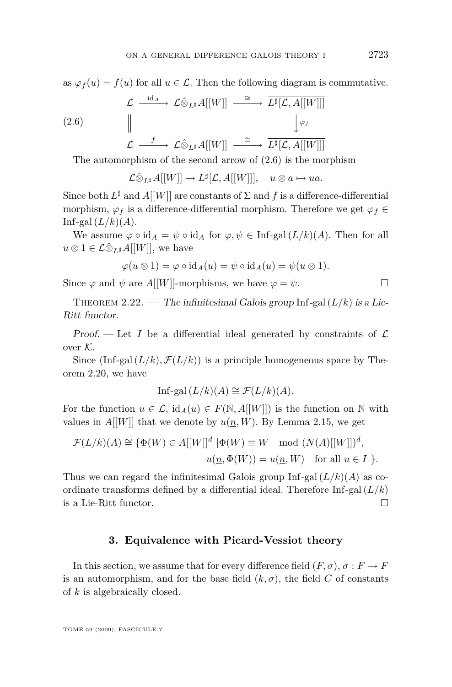<span id="page-15-0"></span>as  $\varphi_f(u) = f(u)$  for all  $u \in \mathcal{L}$ . Then the following diagram is commutative.

$$
\mathcal{L} \xrightarrow{\mathrm{id}_{A}} \mathcal{L} \hat{\otimes}_{L^{\sharp}} A[[W]] \xrightarrow{\cong} \overline{L^{\sharp}[\mathcal{L}, A[[W]]]}
$$
\n
$$
(2.6) \qquad \qquad \downarrow \varphi_{f}
$$
\n
$$
\mathcal{L} \xrightarrow{\quad f \quad} \mathcal{L} \hat{\otimes}_{L^{\sharp}} A[[W]] \xrightarrow{\cong} \overline{L^{\sharp}[\mathcal{L}, A[[W]]]}
$$

The automorphism of the second arrow of (2.6) is the morphism

$$
\mathcal{L}\hat{\otimes}_{L^{\sharp}}A[[W]] \to \overline{L^{\sharp}[\mathcal{L},A[[W]]]}, \quad u \otimes a \mapsto ua.
$$

Since both  $L^{\sharp}$  and  $A[[W]]$  are constants of  $\Sigma$  and  $f$  is a difference-differential morphism,  $\varphi_f$  is a difference-differential morphism. Therefore we get  $\varphi_f \in$ Inf-gal $(L/k)(A)$ .

We assume  $\varphi \circ id_A = \psi \circ id_A$  for  $\varphi, \psi \in \text{Inf-gal}(L/k)(A)$ . Then for all  $u \otimes 1 \in \mathcal{L} \hat{\otimes}_{L^{\sharp}} A[[W]],$  we have

$$
\varphi(u\otimes 1)=\varphi\circ {\rm id}_A(u)=\psi\circ {\rm id}_A(u)=\psi(u\otimes 1).
$$

Since  $\varphi$  and  $\psi$  are  $A[[W]]$ -morphisms, we have  $\varphi = \psi$ .

THEOREM 2.22. — The infinitesimal Galois group Inf-gal  $(L/k)$  is a Lie-Ritt functor.

Proof.  $\mathcal{L}$  Let *I* be a differential ideal generated by constraints of  $\mathcal{L}$ over *K*.

Since  $(\text{Inf-gal}(L/k), \mathcal{F}(L/k))$  is a principle homogeneous space by Theorem [2.20,](#page-14-0) we have

Inf-gal 
$$
(L/k)(A) \cong \mathcal{F}(L/k)(A)
$$
.

For the function  $u \in \mathcal{L}$ ,  $\text{id}_{A}(u) \in F(\mathbb{N}, A[[W]])$  is the function on N with values in  $A[[W]]$  that we denote by  $u(\underline{n}, W)$ . By Lemma [2.15,](#page-10-0) we get

$$
\mathcal{F}(L/k)(A) \cong \{ \Phi(W) \in A[[W]]^d \mid \Phi(W) \equiv W \mod (N(A)[[W]])^d,
$$
  

$$
u(\underline{n}, \Phi(W)) = u(\underline{n}, W) \text{ for all } u \in I \}.
$$

Thus we can regard the infinitesimal Galois group  $\text{Inf-gal}(L/k)(A)$  as coordinate transforms defined by a differential ideal. Therefore  $\text{Inf-gal}(L/k)$ is a Lie-Ritt functor.

#### **3. Equivalence with Picard-Vessiot theory**

In this section, we assume that for every difference field  $(F, \sigma)$ ,  $\sigma : F \to F$ is an automorphism, and for the base field  $(k, \sigma)$ , the field *C* of constants of *k* is algebraically closed.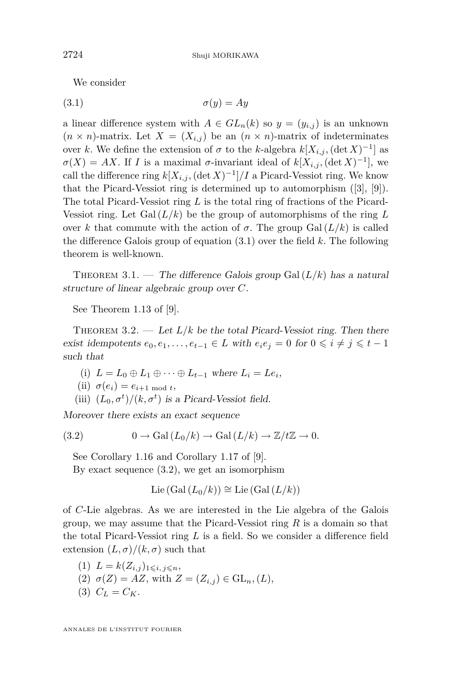We consider

$$
\sigma(y) = Ay
$$

a linear difference system with  $A \in GL_n(k)$  so  $y = (y_{i,j})$  is an unknown  $(n \times n)$ -matrix. Let  $X = (X_{i,j})$  be an  $(n \times n)$ -matrix of indeterminates over *k*. We define the extension of  $\sigma$  to the *k*-algebra  $k[X_{i,j}$ ,  $(\det X)^{-1}]$  as  $\sigma(X) = AX$ . If *I* is a maximal  $\sigma$ -invariant ideal of  $k[X_{i,j}$ , (det  $X)^{-1}$ ), we call the difference ring  $k[X_{i,j}$ ,  $(\det X)^{-1}]/I$  a Picard-Vessiot ring. We know that the Picard-Vessiot ring is determined up to automorphism ([\[3\]](#page-24-0), [\[9\]](#page-24-0)). The total Picard-Vessiot ring *L* is the total ring of fractions of the Picard-Vessiot ring. Let  $Gal (L/k)$  be the group of automorphisms of the ring L over *k* that commute with the action of  $\sigma$ . The group Gal  $(L/k)$  is called the difference Galois group of equation (3.1) over the field *k*. The following theorem is well-known.

THEOREM 3.1. — The difference Galois group Gal $(L/k)$  has a natural structure of linear algebraic group over *C*.

See Theorem 1.13 of [\[9\]](#page-24-0).

THEOREM 3.2. — Let  $L/k$  be the total Picard-Vessiot ring. Then there *exist idempotents*  $e_0, e_1, \ldots, e_{t-1} \in L$  with  $e_i e_j = 0$  for  $0 \leq i \neq j \leq t-1$ such that

- (i)  $L = L_0 \oplus L_1 \oplus \cdots \oplus L_{t-1}$  where  $L_i = L e_i$ ,
- (ii)  $\sigma(e_i) = e_{i+1 \mod t}$ ,
- (iii)  $(L_0, \sigma^t)/(k, \sigma^t)$  is a Picard-Vessiot field.

Moreover there exists an exact sequence

(3.2) 
$$
0 \to \text{Gal}(L_0/k) \to \text{Gal}(L/k) \to \mathbb{Z}/t\mathbb{Z} \to 0.
$$

See Corollary 1.16 and Corollary 1.17 of [\[9\]](#page-24-0).

By exact sequence (3.2), we get an isomorphism

$$
Lie(Gal(L_0/k)) \cong Lie(Gal(L/k))
$$

of *C*-Lie algebras. As we are interested in the Lie algebra of the Galois group, we may assume that the Picard-Vessiot ring *R* is a domain so that the total Picard-Vessiot ring *L* is a field. So we consider a difference field extension  $(L, \sigma)/(k, \sigma)$  such that

- $(L)$   $L = k(Z_{i,j})_{1 \leqslant i,j \leqslant n}$
- (2)  $\sigma(Z) = AZ$ , with  $Z = (Z_{i,j}) \in GL_n, (L)$ ,
- $(C_L = C_K)$ .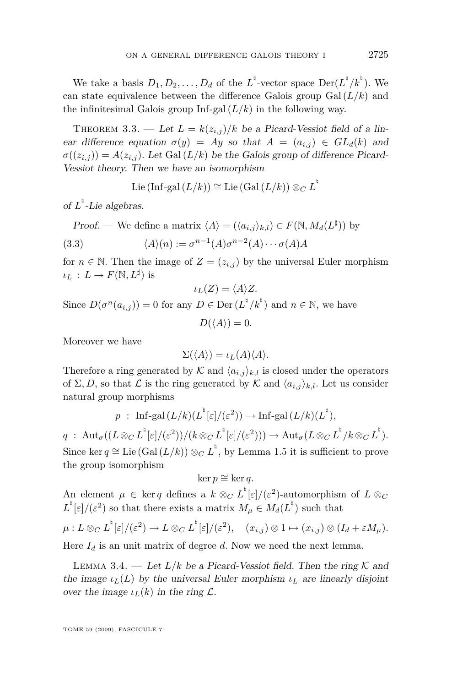<span id="page-17-0"></span>We take a basis  $D_1, D_2, \ldots, D_d$  of the  $L^{\dagger}$ -vector space  $\text{Der}(L^{\dagger}/k^{\dagger})$ . We can state equivalence between the difference Galois group  $Gal (L/k)$  and the infinitesimal Galois group Inf-gal  $(L/k)$  in the following way.

THEOREM 3.3. — Let  $L = k(z_{i,j})/k$  be a Picard-Vessiot field of a linear difference equation  $\sigma(y) = Ay$  so that  $A = (a_{i,j}) \in GL_d(k)$  and  $\sigma((z_{i,j})) = A(z_{i,j})$ . Let Gal  $(L/k)$  be the Galois group of difference Picard-Vessiot theory. Then we have an isomorphism

$$
\operatorname{Lie}\left(\operatorname{Inf}\operatorname{-gal}\left(L/k\right)\right)\cong\operatorname{Lie}\left(\operatorname{Gal}\left(L/k\right)\right)\otimes_{C}L^{\natural}
$$

of  $L^{\dagger}$ -Lie algebras.

Proof. — We define a matrix  $\langle A \rangle = (\langle a_{i,j} \rangle_{k,l}) \in F(\mathbb{N}, M_d(L^{\sharp}))$  by

(3.3) 
$$
\langle A \rangle(n) := \sigma^{n-1}(A)\sigma^{n-2}(A)\cdots \sigma(A)A
$$

for  $n \in \mathbb{N}$ . Then the image of  $Z = (z_{i,j})$  by the universal Euler morphism  $\iota_L : L \to F(\mathbb{N}, L^{\sharp})$  is

$$
\iota_L(Z) = \langle A \rangle Z.
$$

Since  $D(\sigma^n(a_{i,j})) = 0$  for any  $D \in \text{Der}\left(L^{\dagger}/k^{\dagger}\right)$  and  $n \in \mathbb{N}$ , we have

$$
D(\langle A \rangle) = 0.
$$

Moreover we have

$$
\Sigma(\langle A \rangle) = \iota_L(A)\langle A \rangle.
$$

Therefore a ring generated by  $K$  and  $\langle a_{i,j} \rangle_{k,l}$  is closed under the operators of  $\Sigma, D$ , so that  $\mathcal L$  is the ring generated by  $\mathcal K$  and  $\langle a_{i,j} \rangle_{k,l}$ . Let us consider natural group morphisms

$$
p
$$
: Inf-gal  $(L/k)(L^{\dagger}[\varepsilon]/(\varepsilon^2)) \to \text{Inf-gal } (L/k)(L^{\dagger}),$ 

 $q\;:\;\mathrm{Aut}_\sigma((L\otimes_C L^\frac{\mathfrak b}{\varepsilon}](\varepsilon^2))/(k\otimes_C L^\frac{\mathfrak b}{\varepsilon}[\varepsilon]/(\varepsilon^2)))\to \mathrm{Aut}_\sigma(L\otimes_C L^\frac{\mathfrak b}{\varepsilon}/k\otimes_C L^\frac{\mathfrak b}{\varepsilon}).$ Since ker  $q \cong$  Lie (Gal  $(L/k)$ )  $\otimes_C L^{\dagger}$ , by Lemma [1.5](#page-4-0) it is sufficient to prove the group isomorphism

 $ker p ≅ ker q.$ 

An element  $\mu \in \ker q$  defines a  $k \otimes_C L^{\mathfrak{b}}[\varepsilon]/(\varepsilon^2)$ -automorphism of  $L \otimes_C$  $L^{\dagger}[\varepsilon]/(\varepsilon^2)$  so that there exists a matrix  $M_{\mu} \in M_d(L^{\dagger})$  such that

$$
\mu: L \otimes_C L^{\dagger}[\varepsilon]/(\varepsilon^2) \to L \otimes_C L^{\dagger}[\varepsilon]/(\varepsilon^2), \quad (x_{i,j}) \otimes 1 \mapsto (x_{i,j}) \otimes (I_d + \varepsilon M_\mu).
$$

Here  $I_d$  is an unit matrix of degree  $d$ . Now we need the next lemma.

LEMMA 3.4. — Let  $L/k$  be a Picard-Vessiot field. Then the ring  $K$  and the image  $\iota_L(L)$  by the universal Euler morphism  $\iota_L$  are linearly disjoint over the image  $\iota_L(k)$  in the ring  $\mathcal{L}$ .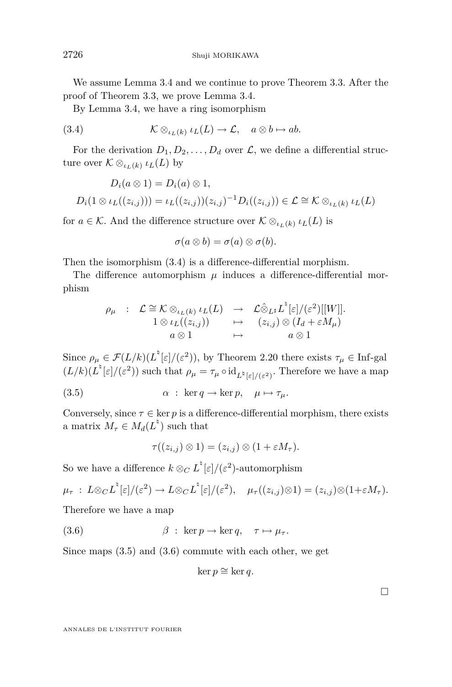We assume Lemma [3.4](#page-17-0) and we continue to prove Theorem [3.3.](#page-17-0) After the proof of Theorem [3.3,](#page-17-0) we prove Lemma [3.4.](#page-17-0)

By Lemma [3.4,](#page-17-0) we have a ring isomorphism

(3.4) 
$$
\mathcal{K} \otimes_{\iota_L(k)} \iota_L(L) \to \mathcal{L}, \quad a \otimes b \mapsto ab.
$$

For the derivation  $D_1, D_2, \ldots, D_d$  over  $\mathcal{L}$ , we define a differential structure over  $K \otimes_{\iota_L(k)} \iota_L(L)$  by

$$
D_i(a \otimes 1) = D_i(a) \otimes 1,
$$
  
\n
$$
D_i(1 \otimes \iota_L((z_{i,j}))) = \iota_L((z_{i,j})) (z_{i,j})^{-1} D_i((z_{i,j})) \in \mathcal{L} \cong \mathcal{K} \otimes_{\iota_L(k)} \iota_L(L)
$$

for  $a \in \mathcal{K}$ . And the difference structure over  $\mathcal{K} \otimes_{\iota_L(k)} \iota_L(L)$  is

$$
\sigma(a\otimes b)=\sigma(a)\otimes \sigma(b).
$$

Then the isomorphism (3.4) is a difference-differential morphism.

The difference automorphism  $\mu$  induces a difference-differential morphism

$$
\rho_{\mu} : \mathcal{L} \cong \mathcal{K} \otimes_{\iota_L(k)} \iota_L(L) \rightarrow \mathcal{L} \hat{\otimes}_{L^{\sharp}} L^{\natural}[\varepsilon]/(\varepsilon^2)[[W]].
$$
  
\n $1 \otimes \iota_L((z_{i,j})) \rightarrow (z_{i,j}) \otimes (I_d + \varepsilon M_{\mu})$   
\n $a \otimes 1 \rightarrow a \otimes 1$ 

Since  $\rho_{\mu} \in \mathcal{F}(L/k)(L^{\dagger}[\varepsilon]/(\varepsilon^2))$ , by Theorem [2.20](#page-14-0) there exists  $\tau_{\mu} \in \text{Inf-gal}$  $(L/k)(L^{\frac{1}{\epsilon}}[\varepsilon]/(\varepsilon^2))$  such that  $\rho_{\mu} = \tau_{\mu} \circ \mathrm{id}_{L^{\frac{1}{\epsilon}}[\varepsilon]/(\varepsilon^2)}$ . Therefore we have a map

(3.5) 
$$
\alpha : \ker q \to \ker p, \quad \mu \mapsto \tau_{\mu}.
$$

Conversely, since  $\tau \in \ker p$  is a difference-differential morphism, there exists a matrix  $M_{\tau} \in M_d(L^{\dagger})$  such that

$$
\tau((z_{i,j})\otimes 1)=(z_{i,j})\otimes (1+\varepsilon M_{\tau}).
$$

So we have a difference  $k \otimes_C L^{\dagger}[\varepsilon]/(\varepsilon^2)$ -automorphism

 $\mu_\tau\,:\, L{\otimes}_C L^{^\natural}[\varepsilon]/(\varepsilon^2) \to L{\otimes}_C L^{^\natural}[\varepsilon]/(\varepsilon^2), \quad \mu_\tau((z_{i,j}){\otimes} 1) = (z_{i,j}){\otimes} (1+\varepsilon M_\tau).$ 

Therefore we have a map

(3.6)  $\beta$  : ker  $p \to \ker q$ ,  $\tau \mapsto \mu_{\tau}$ .

Since maps (3.5) and (3.6) commute with each other, we get

$$
\ker p \cong \ker q.
$$

 $\Box$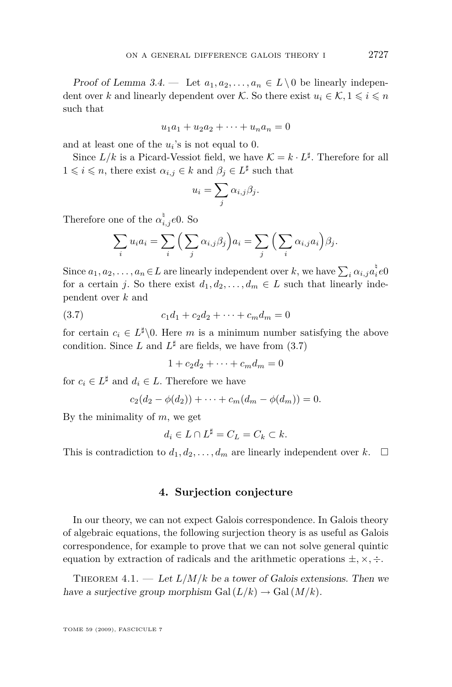<span id="page-19-0"></span>Proof of Lemma [3.4.](#page-17-0) — Let  $a_1, a_2, \ldots, a_n \in L \setminus \{0\}$  be linearly independent over *k* and linearly dependent over *K*. So there exist  $u_i \in K$ ,  $1 \leq i \leq n$ such that

$$
u_1 a_1 + u_2 a_2 + \dots + u_n a_n = 0
$$

and at least one of the  $u_i$ 's is not equal to 0.

Since  $L/k$  is a Picard-Vessiot field, we have  $\mathcal{K} = k \cdot L^{\sharp}$ . Therefore for all  $1 \leq i \leq n$ , there exist  $\alpha_{i,j} \in k$  and  $\beta_j \in L^{\sharp}$  such that

$$
u_i = \sum_j \alpha_{i,j} \beta_j.
$$

Therefore one of the  $\alpha_{i,j}^{\dagger}e^{0}$ . So

$$
\sum_i u_i a_i = \sum_i \left( \sum_j \alpha_{i,j} \beta_j \right) a_i = \sum_j \left( \sum_i \alpha_{i,j} a_i \right) \beta_j.
$$

Since  $a_1, a_2, \ldots, a_n \in L$  are linearly independent over *k*, we have  $\sum_i \alpha_{i,j} a_i^{\dagger} e_0$ for a certain *j*. So there exist  $d_1, d_2, \ldots, d_m \in L$  such that linearly independent over *k* and

$$
(3.7) \t\t\t c_1d_1 + c_2d_2 + \cdots + c_md_m = 0
$$

for certain  $c_i \in L^{\sharp} \backslash 0$ . Here *m* is a minimum number satisfying the above condition. Since L and  $L^{\sharp}$  are fields, we have from (3.7)

 $1 + c_2d_2 + \cdots + c_md_m = 0$ 

for  $c_i \in L^{\sharp}$  and  $d_i \in L$ . Therefore we have

$$
c_2(d_2 - \phi(d_2)) + \cdots + c_m(d_m - \phi(d_m)) = 0.
$$

By the minimality of *m*, we get

$$
d_i \in L \cap L^{\sharp} = C_L = C_k \subset k.
$$

This is contradiction to  $d_1, d_2, \ldots, d_m$  are linearly independent over  $k$ .  $\Box$ 

#### **4. Surjection conjecture**

In our theory, we can not expect Galois correspondence. In Galois theory of algebraic equations, the following surjection theory is as useful as Galois correspondence, for example to prove that we can not solve general quintic equation by extraction of radicals and the arithmetic operations *±, ×, ÷*.

THEOREM  $4.1.$  — Let  $L/M/k$  be a tower of Galois extensions. Then we have a surjective group morphism Gal  $(L/k) \rightarrow$  Gal  $(M/k)$ .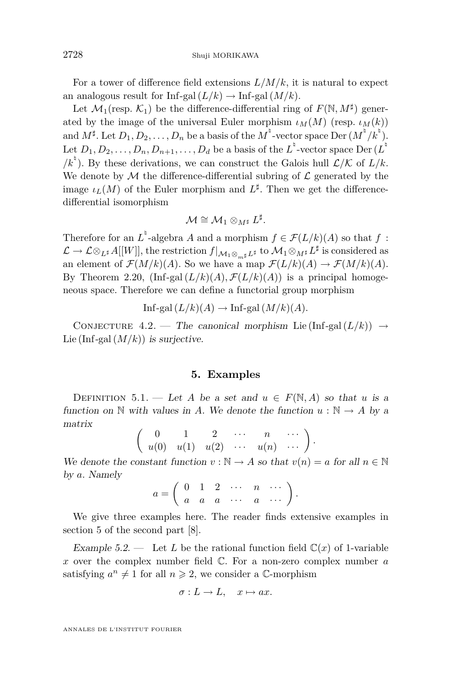<span id="page-20-0"></span>For a tower of difference field extensions  $L/M/k$ , it is natural to expect an analogous result for Inf-gal  $(L/k) \rightarrow \text{Inf-gal}(M/k)$ .

Let  $\mathcal{M}_1$ (resp.  $\mathcal{K}_1$ ) be the difference-differential ring of  $F(\mathbb{N}, M^{\sharp})$  generated by the image of the universal Euler morphism  $\iota_M(M)$  (resp.  $\iota_M(k)$ ) and  $M^{\sharp}$ . Let  $D_1, D_2, \ldots, D_n$  be a basis of the  $M^{\sharp}$ -vector space Der  $(M^{\sharp}/k^{\sharp})$ . Let  $D_1, D_2, \ldots, D_n, D_{n+1}, \ldots, D_d$  be a basis of the  $L^\natural$ -vector space  $\mathrm{Der}\, (L^\natural)$  $/k^{\frac{1}{2}}$ . By these derivations, we can construct the Galois hull  $\mathcal{L}/\mathcal{K}$  of  $L/k$ . We denote by  $M$  the difference-differential subring of  $L$  generated by the image  $\iota_L(M)$  of the Euler morphism and  $L^{\sharp}$ . Then we get the differencedifferential isomorphism

$$
\mathcal{M}\cong \mathcal{M}_1\otimes_{M^\sharp}L^\sharp.
$$

Therefore for an  $L^{\dagger}$ -algebra *A* and a morphism  $f \in \mathcal{F}(L/k)(A)$  so that  $f$ :  $\mathcal{L} \to \mathcal{L} \otimes_{L^{\sharp}} A[[W]],$  the restriction  $f|_{\mathcal{M}_1 \otimes_{m^{\sharp}} L^{\sharp}}$  to  $\mathcal{M}_1 \otimes_{M^{\sharp}} L^{\sharp}$  is considered as an element of  $\mathcal{F}(M/k)(A)$ . So we have a map  $\mathcal{F}(L/k)(A) \to \mathcal{F}(M/k)(A)$ . By Theorem [2.20,](#page-14-0)  $\left(\text{Inf-gal}(L/k)(A), \mathcal{F}(L/k)(A)\right)$  is a principal homogeneous space. Therefore we can define a functorial group morphism

Inf-gal 
$$
(L/k)(A) \to \text{Inf-gal}(M/k)(A)
$$
.

CONJECTURE 4.2. — The canonical morphism Lie (Inf-gal  $(L/k)$ )  $\rightarrow$ Lie (Inf-gal  $(M/k)$ ) is surjective.

#### **5. Examples**

DEFINITION 5.1. — Let *A* be a set and  $u \in F(\mathbb{N}, A)$  so that *u* is a function on  $\mathbb N$  with values in *A*. We denote the function  $u : \mathbb N \to A$  by a matrix

$$
\left(\begin{array}{cccc}0&1&2&\cdots&n&\cdots\\u(0)&u(1)&u(2)&\cdots&u(n)&\cdots\end{array}\right)
$$

*.*

We denote the constant function  $v : \mathbb{N} \to A$  so that  $v(n) = a$  for all  $n \in \mathbb{N}$ by *a*. Namely

$$
a = \left(\begin{array}{cccccc} 0 & 1 & 2 & \cdots & n & \cdots \\ a & a & a & \cdots & a & \cdots \end{array}\right).
$$

We give three examples here. The reader finds extensive examples in section 5 of the second part [\[8\]](#page-24-0).

Example 5.2. — Let *L* be the rational function field  $\mathbb{C}(x)$  of 1-variable *x* over the complex number field C. For a non-zero complex number *a* satisfying  $a^n \neq 1$  for all  $n \geq 2$ , we consider a C-morphism

$$
\sigma: L \to L, \quad x \mapsto ax.
$$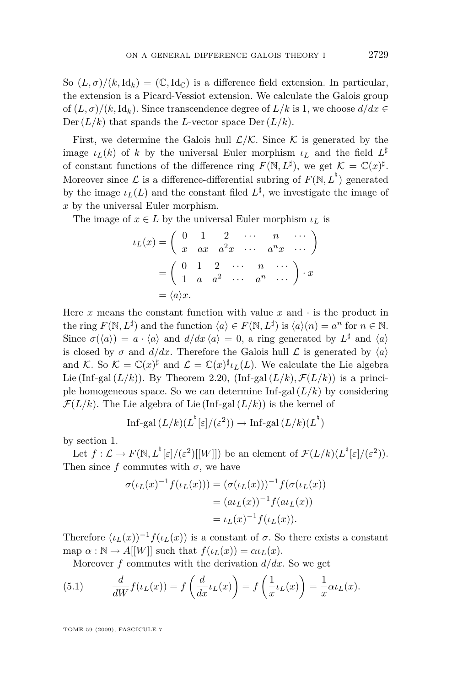<span id="page-21-0"></span>So  $(L, \sigma)/(k, \mathrm{Id}_k) = (\mathbb{C}, \mathrm{Id}_{\mathbb{C}})$  is a difference field extension. In particular, the extension is a Picard-Vessiot extension. We calculate the Galois group of  $(L, \sigma)/(k, \text{Id}_k)$ . Since transcendence degree of  $L/k$  is 1, we choose  $d/dx \in$ Der  $(L/k)$  that spands the *L*-vector space Der  $(L/k)$ .

First, we determine the Galois hull  $\mathcal{L}/\mathcal{K}$ . Since  $\mathcal K$  is generated by the image  $\iota_L(k)$  of *k* by the universal Euler morphism  $\iota_L$  and the field  $L^{\sharp}$ of constant functions of the difference ring  $F(\mathbb{N}, L^{\sharp})$ , we get  $\mathcal{K} = \mathbb{C}(x)^{\sharp}$ . Moreover since  $\mathcal{L}$  is a difference-differential subring of  $F(\mathbb{N}, L^{\dagger})$  generated by the image  $\iota_L(L)$  and the constant filed  $L^{\sharp}$ , we investigate the image of *x* by the universal Euler morphism.

The image of  $x \in L$  by the universal Euler morphism  $\iota_L$  is

$$
\iota_L(x) = \begin{pmatrix} 0 & 1 & 2 & \cdots & n & \cdots \\ x & ax & a^2x & \cdots & a^nx & \cdots \end{pmatrix}
$$

$$
= \begin{pmatrix} 0 & 1 & 2 & \cdots & n & \cdots \\ 1 & a & a^2 & \cdots & a^n & \cdots \end{pmatrix} \cdot x
$$

$$
= \langle a \rangle x.
$$

Here  $x$  means the constant function with value  $x$  and  $\cdot$  is the product in the ring  $F(\mathbb{N}, L^{\sharp})$  and the function  $\langle a \rangle \in F(\mathbb{N}, L^{\sharp})$  is  $\langle a \rangle(n) = a^{n}$  for  $n \in \mathbb{N}$ . Since  $\sigma(\langle a \rangle) = a \cdot \langle a \rangle$  and  $d/dx \langle a \rangle = 0$ , a ring generated by  $L^{\sharp}$  and  $\langle a \rangle$ is closed by  $\sigma$  and  $d/dx$ . Therefore the Galois hull  $\mathcal L$  is generated by  $\langle a \rangle$ and *K*. So  $K = \mathbb{C}(x)^\sharp$  and  $\mathcal{L} = \mathbb{C}(x)^\sharp \iota_L(L)$ . We calculate the Lie algebra Lie (Inf-gal  $(L/k)$ ). By Theorem [2.20,](#page-14-0) (Inf-gal  $(L/k)$ ,  $\mathcal{F}(L/k)$ ) is a principle homogeneous space. So we can determine  $\text{Inf-gal}(L/k)$  by considering  $\mathcal{F}(L/k)$ . The Lie algebra of Lie (Inf-gal  $(L/k)$ ) is the kernel of

Inf-gal 
$$
(L/k)(L^{\mathfrak{h}}[\varepsilon]/(\varepsilon^2)) \to \text{Inf-gal}(L/k)(L^{\mathfrak{h}})
$$

by section [1.](#page-2-0)

Let  $f: \mathcal{L} \to F(\mathbb{N}, L^{\mathfrak{h}}[\varepsilon]/(\varepsilon^2)[[W]])$  be an element of  $\mathcal{F}(L/k)(L^{\mathfrak{h}}[\varepsilon]/(\varepsilon^2)).$ Then since  $f$  commutes with  $\sigma$ , we have

$$
\sigma(\iota_L(x)^{-1} f(\iota_L(x))) = (\sigma(\iota_L(x)))^{-1} f(\sigma(\iota_L(x)))
$$
  
=  $(a\iota_L(x))^{-1} f(a\iota_L(x))$   
=  $\iota_L(x)^{-1} f(\iota_L(x)).$ 

Therefore  $(\iota_L(x))^{-1} f(\iota_L(x))$  is a constant of  $\sigma$ . So there exists a constant map  $\alpha : \mathbb{N} \to A[[W]]$  such that  $f(\iota_L(x)) = \alpha \iota_L(x)$ .

Moreover *f* commutes with the derivation *d/dx*. So we get

(5.1) 
$$
\frac{d}{dW}f(\iota_L(x)) = f\left(\frac{d}{dx}\iota_L(x)\right) = f\left(\frac{1}{x}\iota_L(x)\right) = \frac{1}{x}\alpha\iota_L(x).
$$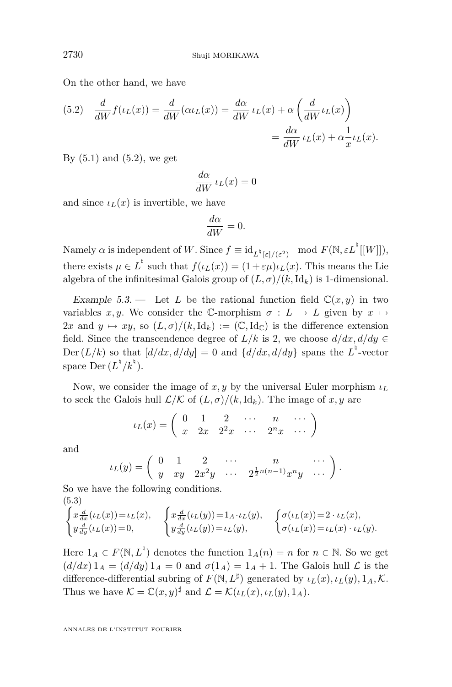<span id="page-22-0"></span>On the other hand, we have

(5.2) 
$$
\frac{d}{dW} f(\iota_L(x)) = \frac{d}{dW} (\alpha \iota_L(x)) = \frac{d\alpha}{dW} \iota_L(x) + \alpha \left( \frac{d}{dW} \iota_L(x) \right)
$$

$$
= \frac{d\alpha}{dW} \iota_L(x) + \alpha \frac{1}{x} \iota_L(x).
$$

By  $(5.1)$  and  $(5.2)$ , we get

$$
\frac{d\alpha}{dW} \iota_L(x) = 0
$$

and since  $\iota_L(x)$  is invertible, we have

$$
\frac{d\alpha}{dW} = 0.
$$

 $\text{Namely } \alpha \text{ is independent of } W. \text{ Since } f \equiv \text{id}_{L^{\natural}[\varepsilon]/(\varepsilon^2)} \mod F(\mathbb{N}, \varepsilon L^{\natural}[[W]]),$ there exists  $\mu \in L^{\dagger}$  such that  $f(\iota_L(x)) = (1 + \varepsilon \mu)\iota_L(x)$ . This means the Lie algebra of the infinitesimal Galois group of  $(L, \sigma)/(k, \text{Id}_k)$  is 1-dimensional.

Example 5.3. — Let *L* be the rational function field  $\mathbb{C}(x, y)$  in two variables *x, y*. We consider the C-morphism  $\sigma : L \to L$  given by  $x \mapsto$  $2x$  and  $y \mapsto xy$ , so  $(L, \sigma)/(k, \text{Id}_k) := (\mathbb{C}, \text{Id}_{\mathbb{C}})$  is the difference extension field. Since the transcendence degree of  $L/k$  is 2, we choose  $d/dx, d/dy \in$ Der  $(L/k)$  so that  $\left[\frac{d}{dx}, \frac{d}{dy}\right] = 0$  and  $\left\{\frac{d}{dx}, \frac{d}{dy}\right\}$  spans the  $L^{\frac{b}{2}}$ -vector space Der  $(L^{\natural}/k^{\natural})$ .

Now, we consider the image of  $x, y$  by the universal Euler morphism  $\iota_L$ to seek the Galois hull  $\mathcal{L}/\mathcal{K}$  of  $(L, \sigma)/(k, \mathrm{Id}_k)$ . The image of x, y are

$$
\iota_L(x) = \left( \begin{array}{cccccc} 0 & 1 & 2 & \cdots & n & \cdots \\ x & 2x & 2^2x & \cdots & 2^nx & \cdots \end{array} \right)
$$

and

$$
\iota_L(y) = \begin{pmatrix} 0 & 1 & 2 & \cdots & n & \cdots \\ y & xy & 2x^2y & \cdots & 2^{\frac{1}{2}n(n-1)}x^ny & \cdots \end{pmatrix}.
$$

So we have the following conditions. (5.3)

$$
\begin{cases}\nx\frac{d}{dx}(\iota_L(x)) = \iota_L(x), \\
y\frac{d}{dy}(\iota_L(x)) = 0, \\
\end{cases}\n\begin{cases}\nx\frac{d}{dx}(\iota_L(y)) = 1_A \cdot \iota_L(y), \\
y\frac{d}{dy}(\iota_L(y)) = \iota_L(y), \\
\end{cases}\n\begin{cases}\n\sigma(\iota_L(x)) = 2 \cdot \iota_L(x), \\
\sigma(\iota_L(x)) = \iota_L(x) \cdot \iota_L(y).\n\end{cases}
$$

Here  $1_A \in F(\mathbb{N}, L^{\mathbb{N}})$  denotes the function  $1_A(n) = n$  for  $n \in \mathbb{N}$ . So we get  $(d/dx) 1_A = (d/dy) 1_A = 0$  and  $\sigma(1_A) = 1_A + 1$ . The Galois hull  $\mathcal L$  is the difference-differential subring of  $F(\mathbb{N}, L^{\sharp})$  generated by  $\iota_L(x), \iota_L(y), 1_A, \mathcal{K}$ . Thus we have  $\mathcal{K} = \mathbb{C}(x, y)^\sharp$  and  $\mathcal{L} = \mathcal{K}(\iota_L(x), \iota_L(y), 1_A)$ .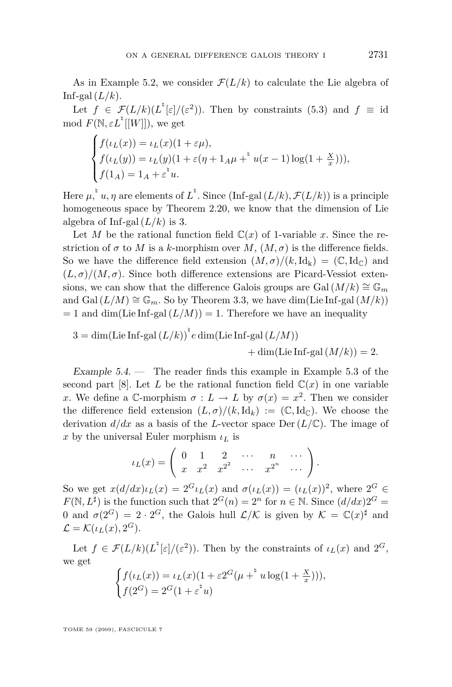As in Example [5.2,](#page-20-0) we consider  $\mathcal{F}(L/k)$  to calculate the Lie algebra of Inf-gal  $(L/k)$ .

Let  $f \in \mathcal{F}(L/k)(L^{\dagger}[\varepsilon]/(\varepsilon^2))$ . Then by constraints [\(5.3\)](#page-22-0) and  $f \equiv id$  $\mod F(\mathbb{N}, \varepsilon L^{\dagger}[[W]]),$  we get

$$
\begin{cases}\nf(\iota_L(x)) = \iota_L(x)(1 + \varepsilon \mu), \\
f(\iota_L(y)) = \iota_L(y)(1 + \varepsilon (\eta + 1_A \mu + \nu(x - 1)) \log(1 + \frac{x}{x}))), \\
f(1_A) = 1_A + \varepsilon^{\nu} u.\n\end{cases}
$$

Here  $\mu, \nmid u, \eta$  are elements of  $L^{\nmid}$ . Since (Inf-gal  $(L/k), \mathcal{F}(L/k)$ ) is a principle homogeneous space by Theorem [2.20,](#page-14-0) we know that the dimension of Lie algebra of Inf-gal  $(L/k)$  is 3.

Let *M* be the rational function field  $\mathbb{C}(x)$  of 1-variable *x*. Since the restriction of  $\sigma$  to *M* is a *k*-morphism over *M*,  $(M, \sigma)$  is the difference fields. So we have the difference field extension  $(M, \sigma)/(k, \text{Id}_k) = (\mathbb{C}, \text{Id}_{\mathbb{C}})$  and  $(L, \sigma)/(M, \sigma)$ . Since both difference extensions are Picard-Vessiot extensions, we can show that the difference Galois groups are Gal  $(M/k) \cong \mathbb{G}_m$ and Gal  $(L/M) \cong \mathbb{G}_m$ . So by Theorem [3.3,](#page-17-0) we have dim(Lie Inf-gal  $(M/k)$ )  $= 1$  and dim(Lie Inf-gal  $(L/M)$ ) = 1. Therefore we have an inequality

$$
3 = \dim(\text{Lie Inf-gal}(L/k))^{\dagger} e \dim(\text{Lie Inf-gal}(L/M)) + \dim(\text{Lie Inf-gal}(M/k)) = 2.
$$

Example  $5.4.$  — The reader finds this example in Example  $5.3$  of the second part [\[8\]](#page-24-0). Let L be the rational function field  $\mathbb{C}(x)$  in one variable *x*. We define a C-morphism  $\sigma: L \to L$  by  $\sigma(x) = x^2$ . Then we consider the difference field extension  $(L, \sigma)/(k, \text{Id}_k) := (\mathbb{C}, \text{Id}_{\mathbb{C}})$ . We choose the derivation  $d/dx$  as a basis of the *L*-vector space Der  $(L/\mathbb{C})$ . The image of *x* by the universal Euler morphism  $\iota_L$  is

$$
\iota_L(x) = \left( \begin{array}{cccccc} 0 & 1 & 2 & \cdots & n & \cdots \\ x & x^2 & x^{2^2} & \cdots & x^{2^n} & \cdots \end{array} \right).
$$

So we get  $x(d/dx)\iota_L(x) = 2^G\iota_L(x)$  and  $\sigma(\iota_L(x)) = (\iota_L(x))^2$ , where  $2^G \in$  $F(\mathbb{N}, L^{\sharp})$  is the function such that  $2^{G}(n) = 2^{n}$  for  $n \in \mathbb{N}$ . Since  $(d/dx)2^{G} =$ 0 and  $\sigma(2^G) = 2 \cdot 2^G$ , the Galois hull  $\mathcal{L}/\mathcal{K}$  is given by  $\mathcal{K} = \mathbb{C}(x)^\sharp$  and  $\mathcal{L} = \mathcal{K}(\iota_L(x), 2^G).$ 

Let  $f \in \mathcal{F}(L/k)(L^{\dagger}[\varepsilon]/(\varepsilon^2))$ . Then by the constraints of  $\iota_L(x)$  and  $2^G$ , we get

$$
\begin{cases} f(\iota_L(x)) = \iota_L(x)(1 + \varepsilon 2^G(\mu + \frac{1}{u}\mu \log(1 + \frac{x}{x}))), \\ f(2^G) = 2^G(1 + \varepsilon^{\frac{1}{u}}u) \end{cases}
$$